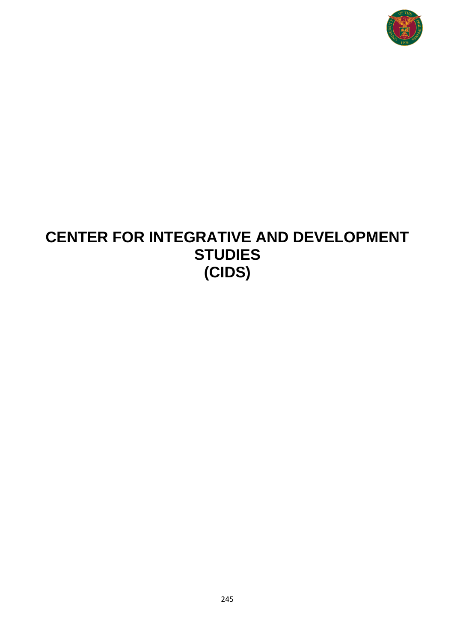

# **CENTER FOR INTEGRATIVE AND DEVELOPMENT STUDIES (CIDS)**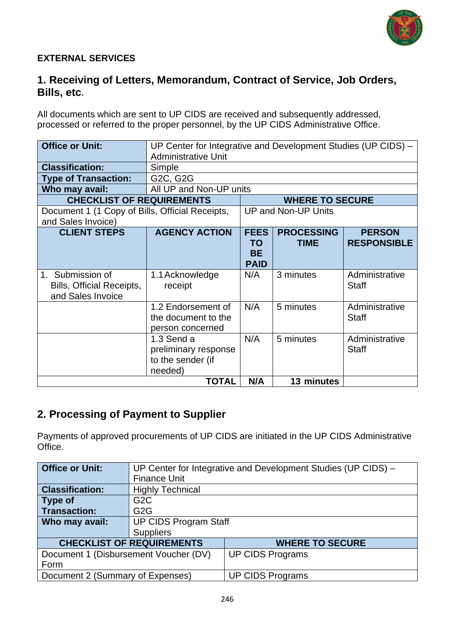

#### **EXTERNAL SERVICES**

### **1. Receiving of Letters, Memorandum, Contract of Service, Job Orders, Bills, etc**.

All documents which are sent to UP CIDS are received and subsequently addressed, processed or referred to the proper personnel, by the UP CIDS Administrative Office.

| <b>Office or Unit:</b>                                                | UP Center for Integrative and Development Studies (UP CIDS) -<br><b>Administrative Unit</b>                              |                                                      |                                  |                                     |  |
|-----------------------------------------------------------------------|--------------------------------------------------------------------------------------------------------------------------|------------------------------------------------------|----------------------------------|-------------------------------------|--|
| <b>Classification:</b>                                                | Simple                                                                                                                   |                                                      |                                  |                                     |  |
| <b>Type of Transaction:</b>                                           | G2C, G2G                                                                                                                 |                                                      |                                  |                                     |  |
| Who may avail:                                                        | All UP and Non-UP units                                                                                                  |                                                      |                                  |                                     |  |
| <b>CHECKLIST OF REQUIREMENTS</b>                                      |                                                                                                                          |                                                      | <b>WHERE TO SECURE</b>           |                                     |  |
| Document 1 (1 Copy of Bills, Official Receipts,<br>and Sales Invoice) |                                                                                                                          | UP and Non-UP Units                                  |                                  |                                     |  |
| <b>CLIENT STEPS</b>                                                   | <b>AGENCY ACTION</b>                                                                                                     | <b>FEES</b><br><b>TO</b><br><b>BE</b><br><b>PAID</b> | <b>PROCESSING</b><br><b>TIME</b> | <b>PERSON</b><br><b>RESPONSIBLE</b> |  |
| 1. Submission of<br>Bills, Official Receipts,<br>and Sales Invoice    | 1.1 Acknowledge<br>receipt                                                                                               | N/A                                                  | 3 minutes                        | Administrative<br><b>Staff</b>      |  |
|                                                                       | 1.2 Endorsement of<br>the document to the<br>person concerned                                                            | N/A                                                  | 5 minutes                        | Administrative<br><b>Staff</b>      |  |
|                                                                       | N/A<br>5 minutes<br>Administrative<br>1.3 Send a<br><b>Staff</b><br>preliminary response<br>to the sender (if<br>needed) |                                                      |                                  |                                     |  |
|                                                                       | TOTAL                                                                                                                    | N/A                                                  | 13 minutes                       |                                     |  |

### **2. Processing of Payment to Supplier**

Payments of approved procurements of UP CIDS are initiated in the UP CIDS Administrative Office.

| <b>Office or Unit:</b>           | UP Center for Integrative and Development Studies (UP CIDS) -    |                         |  |  |  |
|----------------------------------|------------------------------------------------------------------|-------------------------|--|--|--|
|                                  | <b>Finance Unit</b>                                              |                         |  |  |  |
| <b>Classification:</b>           | <b>Highly Technical</b>                                          |                         |  |  |  |
| Type of                          | G <sub>2</sub> C                                                 |                         |  |  |  |
| <b>Transaction:</b>              | G <sub>2</sub> G                                                 |                         |  |  |  |
| Who may avail:                   | <b>UP CIDS Program Staff</b>                                     |                         |  |  |  |
|                                  | <b>Suppliers</b>                                                 |                         |  |  |  |
|                                  | <b>CHECKLIST OF REQUIREMENTS</b><br><b>WHERE TO SECURE</b>       |                         |  |  |  |
|                                  | <b>UP CIDS Programs</b><br>Document 1 (Disbursement Voucher (DV) |                         |  |  |  |
| Form                             |                                                                  |                         |  |  |  |
| Document 2 (Summary of Expenses) |                                                                  | <b>UP CIDS Programs</b> |  |  |  |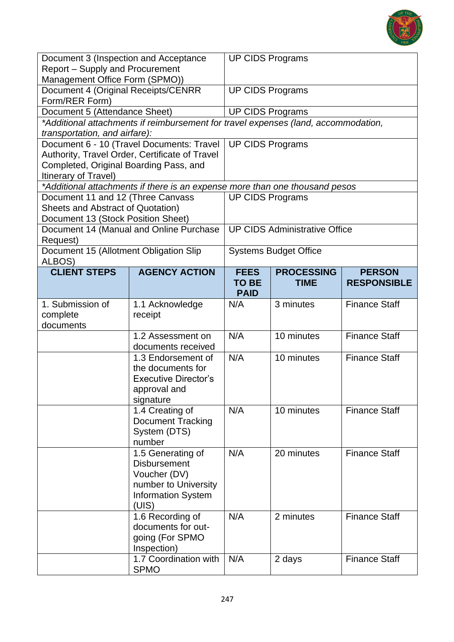

| Document 3 (Inspection and Acceptance<br><b>Report - Supply and Procurement</b><br>Management Office Form (SPMO))   |                                                                                                                        | <b>UP CIDS Programs</b>     |                                      |                      |
|---------------------------------------------------------------------------------------------------------------------|------------------------------------------------------------------------------------------------------------------------|-----------------------------|--------------------------------------|----------------------|
| Document 4 (Original Receipts/CENRR                                                                                 |                                                                                                                        | <b>UP CIDS Programs</b>     |                                      |                      |
| Form/RER Form)                                                                                                      |                                                                                                                        |                             |                                      |                      |
| Document 5 (Attendance Sheet)<br>*Additional attachments if reimbursement for travel expenses (land, accommodation, |                                                                                                                        | <b>UP CIDS Programs</b>     |                                      |                      |
| transportation, and airfare):                                                                                       |                                                                                                                        |                             |                                      |                      |
|                                                                                                                     | Document 6 - 10 (Travel Documents: Travel                                                                              | <b>UP CIDS Programs</b>     |                                      |                      |
|                                                                                                                     | Authority, Travel Order, Certificate of Travel                                                                         |                             |                                      |                      |
| Completed, Original Boarding Pass, and                                                                              |                                                                                                                        |                             |                                      |                      |
| Itinerary of Travel)                                                                                                |                                                                                                                        |                             |                                      |                      |
|                                                                                                                     | *Additional attachments if there is an expense more than one thousand pesos                                            |                             |                                      |                      |
| Document 11 and 12 (Three Canvass                                                                                   |                                                                                                                        | <b>UP CIDS Programs</b>     |                                      |                      |
| Sheets and Abstract of Quotation)                                                                                   |                                                                                                                        |                             |                                      |                      |
| Document 13 (Stock Position Sheet)                                                                                  |                                                                                                                        |                             |                                      |                      |
| Request)                                                                                                            | Document 14 (Manual and Online Purchase                                                                                |                             | <b>UP CIDS Administrative Office</b> |                      |
| Document 15 (Allotment Obligation Slip<br>ALBOS)                                                                    |                                                                                                                        |                             | <b>Systems Budget Office</b>         |                      |
| <b>CLIENT STEPS</b>                                                                                                 | <b>AGENCY ACTION</b>                                                                                                   | <b>FEES</b>                 | <b>PROCESSING</b>                    | <b>PERSON</b>        |
|                                                                                                                     |                                                                                                                        | <b>TO BE</b><br><b>PAID</b> | <b>TIME</b>                          | <b>RESPONSIBLE</b>   |
| 1. Submission of<br>complete<br>documents                                                                           | 1.1 Acknowledge<br>receipt                                                                                             | N/A                         | 3 minutes                            | <b>Finance Staff</b> |
|                                                                                                                     | 1.2 Assessment on<br>documents received                                                                                | N/A                         | 10 minutes                           | <b>Finance Staff</b> |
|                                                                                                                     | 1.3 Endorsement of<br>the documents for<br><b>Executive Director's</b><br>approval and<br>signature                    | N/A                         | 10 minutes                           | <b>Finance Staff</b> |
|                                                                                                                     | 1.4 Creating of<br><b>Document Tracking</b><br>System (DTS)<br>number                                                  | N/A                         | 10 minutes                           | <b>Finance Staff</b> |
|                                                                                                                     | 1.5 Generating of<br><b>Disbursement</b><br>Voucher (DV)<br>number to University<br><b>Information System</b><br>(UIS) | N/A                         | 20 minutes                           | <b>Finance Staff</b> |
|                                                                                                                     | 1.6 Recording of<br>documents for out-<br>going (For SPMO<br>Inspection)                                               | N/A                         | 2 minutes                            | <b>Finance Staff</b> |
|                                                                                                                     | 1.7 Coordination with<br><b>SPMO</b>                                                                                   | N/A                         | 2 days                               | <b>Finance Staff</b> |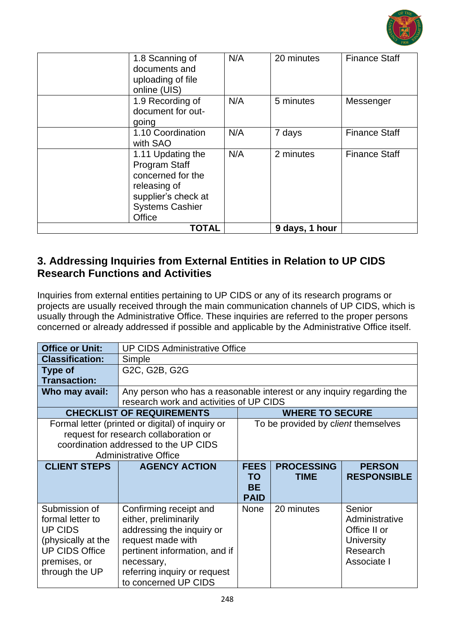

| 1.8 Scanning of<br>documents and<br>uploading of file<br>online (UIS)                                                                     | N/A | 20 minutes     | <b>Finance Staff</b> |
|-------------------------------------------------------------------------------------------------------------------------------------------|-----|----------------|----------------------|
| 1.9 Recording of<br>document for out-<br>going                                                                                            | N/A | 5 minutes      | Messenger            |
| 1.10 Coordination<br>with SAO                                                                                                             | N/A | 7 days         | <b>Finance Staff</b> |
| 1.11 Updating the<br><b>Program Staff</b><br>concerned for the<br>releasing of<br>supplier's check at<br><b>Systems Cashier</b><br>Office | N/A | 2 minutes      | <b>Finance Staff</b> |
| <b>TOTAL</b>                                                                                                                              |     | 9 days, 1 hour |                      |

### **3. Addressing Inquiries from External Entities in Relation to UP CIDS Research Functions and Activities**

Inquiries from external entities pertaining to UP CIDS or any of its research programs or projects are usually received through the main communication channels of UP CIDS, which is usually through the Administrative Office. These inquiries are referred to the proper persons concerned or already addressed if possible and applicable by the Administrative Office itself.

| <b>Office or Unit:</b> | <b>UP CIDS Administrative Office</b>                                  |             |                                     |                    |  |
|------------------------|-----------------------------------------------------------------------|-------------|-------------------------------------|--------------------|--|
| <b>Classification:</b> | Simple                                                                |             |                                     |                    |  |
| <b>Type of</b>         | G2C, G2B, G2G                                                         |             |                                     |                    |  |
| <b>Transaction:</b>    |                                                                       |             |                                     |                    |  |
| Who may avail:         | Any person who has a reasonable interest or any inquiry regarding the |             |                                     |                    |  |
|                        | research work and activities of UP CIDS                               |             |                                     |                    |  |
|                        | <b>CHECKLIST OF REQUIREMENTS</b>                                      |             | <b>WHERE TO SECURE</b>              |                    |  |
|                        | Formal letter (printed or digital) of inquiry or                      |             | To be provided by client themselves |                    |  |
|                        | request for research collaboration or                                 |             |                                     |                    |  |
|                        | coordination addressed to the UP CIDS                                 |             |                                     |                    |  |
|                        | <b>Administrative Office</b>                                          |             |                                     |                    |  |
| <b>CLIENT STEPS</b>    | <b>AGENCY ACTION</b>                                                  | <b>FEES</b> | <b>PROCESSING</b>                   | <b>PERSON</b>      |  |
|                        |                                                                       | <b>TO</b>   | <b>TIME</b>                         | <b>RESPONSIBLE</b> |  |
|                        |                                                                       | <b>BE</b>   |                                     |                    |  |
|                        |                                                                       | <b>PAID</b> |                                     |                    |  |
| Submission of          | Confirming receipt and                                                | <b>None</b> | 20 minutes                          | Senior             |  |
| formal letter to       | either, preliminarily                                                 |             |                                     | Administrative     |  |
| <b>UP CIDS</b>         | addressing the inquiry or                                             |             |                                     | Office II or       |  |
| (physically at the     | request made with                                                     |             |                                     | University         |  |
| <b>UP CIDS Office</b>  | pertinent information, and if                                         |             |                                     | Research           |  |
| premises, or           | necessary,                                                            |             |                                     | Associate I        |  |
| through the UP         | referring inquiry or request                                          |             |                                     |                    |  |
|                        | to concerned UP CIDS                                                  |             |                                     |                    |  |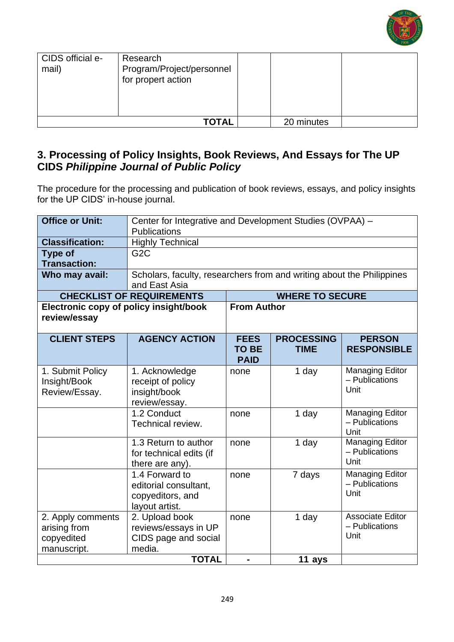

| CIDS official e-<br>mail) | Research<br>Program/Project/personnel<br>for propert action |            |  |
|---------------------------|-------------------------------------------------------------|------------|--|
|                           | <b>TOTAL</b>                                                | 20 minutes |  |

### **3. Processing of Policy Insights, Book Reviews, And Essays for The UP CIDS** *Philippine Journal of Public Policy*

The procedure for the processing and publication of book reviews, essays, and policy insights for the UP CIDS' in-house journal.

| <b>Office or Unit:</b>                                         | Center for Integrative and Development Studies (OVPAA) -<br><b>Publications</b>        |                                            |                                  |                                                   |  |
|----------------------------------------------------------------|----------------------------------------------------------------------------------------|--------------------------------------------|----------------------------------|---------------------------------------------------|--|
| <b>Classification:</b>                                         | <b>Highly Technical</b>                                                                |                                            |                                  |                                                   |  |
| <b>Type of</b><br><b>Transaction:</b>                          | G <sub>2</sub> C                                                                       |                                            |                                  |                                                   |  |
| Who may avail:                                                 | Scholars, faculty, researchers from and writing about the Philippines<br>and East Asia |                                            |                                  |                                                   |  |
|                                                                | <b>CHECKLIST OF REQUIREMENTS</b>                                                       |                                            | <b>WHERE TO SECURE</b>           |                                                   |  |
| Electronic copy of policy insight/book<br>review/essay         |                                                                                        | <b>From Author</b>                         |                                  |                                                   |  |
| <b>CLIENT STEPS</b>                                            | <b>AGENCY ACTION</b>                                                                   | <b>FEES</b><br><b>TO BE</b><br><b>PAID</b> | <b>PROCESSING</b><br><b>TIME</b> | <b>PERSON</b><br><b>RESPONSIBLE</b>               |  |
| 1. Submit Policy<br>Insight/Book<br>Review/Essay.              | 1. Acknowledge<br>receipt of policy<br>insight/book<br>review/essay.                   | none                                       | 1 day                            | <b>Managing Editor</b><br>- Publications<br>Unit  |  |
|                                                                | 1.2 Conduct<br>Technical review.                                                       | none                                       | 1 day                            | <b>Managing Editor</b><br>- Publications<br>Unit  |  |
|                                                                | 1.3 Return to author<br>for technical edits (if<br>there are any).                     | none                                       | 1 day                            | <b>Managing Editor</b><br>- Publications<br>Unit  |  |
|                                                                | 1.4 Forward to<br>editorial consultant,<br>copyeditors, and<br>layout artist.          | none                                       | 7 days                           | <b>Managing Editor</b><br>- Publications<br>Unit  |  |
| 2. Apply comments<br>arising from<br>copyedited<br>manuscript. | 2. Upload book<br>reviews/essays in UP<br>CIDS page and social<br>media.               | none                                       | 1 day                            | <b>Associate Editor</b><br>- Publications<br>Unit |  |
|                                                                | <b>TOTAL</b>                                                                           |                                            | 11 ays                           |                                                   |  |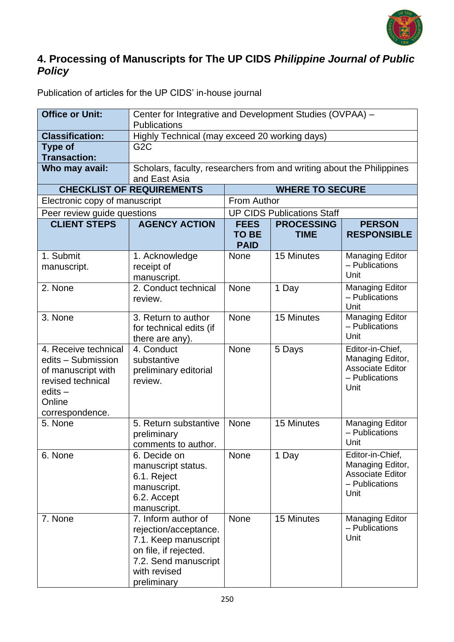

### **4. Processing of Manuscripts for The UP CIDS** *Philippine Journal of Public Policy*

| Publication of articles for the UP CIDS' in-house journal |
|-----------------------------------------------------------|
|-----------------------------------------------------------|

| <b>Office or Unit:</b>                                                                                                       | Center for Integrative and Development Studies (OVPAA) -<br><b>Publications</b>                                                                      |                                            |                                   |                                                                                           |  |
|------------------------------------------------------------------------------------------------------------------------------|------------------------------------------------------------------------------------------------------------------------------------------------------|--------------------------------------------|-----------------------------------|-------------------------------------------------------------------------------------------|--|
| <b>Classification:</b>                                                                                                       | Highly Technical (may exceed 20 working days)                                                                                                        |                                            |                                   |                                                                                           |  |
| <b>Type of</b><br><b>Transaction:</b>                                                                                        | G <sub>2</sub> C                                                                                                                                     |                                            |                                   |                                                                                           |  |
| Who may avail:                                                                                                               | Scholars, faculty, researchers from and writing about the Philippines<br>and East Asia                                                               |                                            |                                   |                                                                                           |  |
|                                                                                                                              | <b>CHECKLIST OF REQUIREMENTS</b>                                                                                                                     |                                            | <b>WHERE TO SECURE</b>            |                                                                                           |  |
| Electronic copy of manuscript                                                                                                |                                                                                                                                                      | From Author                                |                                   |                                                                                           |  |
| Peer review guide questions                                                                                                  |                                                                                                                                                      |                                            | <b>UP CIDS Publications Staff</b> |                                                                                           |  |
| <b>CLIENT STEPS</b>                                                                                                          | <b>AGENCY ACTION</b>                                                                                                                                 | <b>FEES</b><br><b>TO BE</b><br><b>PAID</b> | <b>PROCESSING</b><br><b>TIME</b>  | <b>PERSON</b><br><b>RESPONSIBLE</b>                                                       |  |
| 1. Submit<br>manuscript.                                                                                                     | 1. Acknowledge<br>receipt of<br>manuscript.                                                                                                          | <b>None</b>                                | 15 Minutes                        | <b>Managing Editor</b><br>- Publications<br>Unit                                          |  |
| 2. None                                                                                                                      | 2. Conduct technical<br>review.                                                                                                                      | <b>None</b>                                | 1 Day                             | <b>Managing Editor</b><br>- Publications<br>Unit                                          |  |
| 3. None                                                                                                                      | 3. Return to author<br>for technical edits (if<br>there are any).                                                                                    | <b>None</b>                                | 15 Minutes                        | <b>Managing Editor</b><br>- Publications<br>Unit                                          |  |
| 4. Receive technical<br>edits - Submission<br>of manuscript with<br>revised technical<br>edits-<br>Online<br>correspondence. | 4. Conduct<br>substantive<br>preliminary editorial<br>review.                                                                                        | <b>None</b>                                | 5 Days                            | Editor-in-Chief,<br>Managing Editor,<br><b>Associate Editor</b><br>- Publications<br>Unit |  |
| 5. None                                                                                                                      | 5. Return substantive<br>preliminary<br>comments to author.                                                                                          | <b>None</b>                                | 15 Minutes                        | <b>Managing Editor</b><br>- Publications<br>Unit                                          |  |
| 6. None                                                                                                                      | 6. Decide on<br>manuscript status.<br>6.1. Reject<br>manuscript.<br>6.2. Accept<br>manuscript.                                                       | <b>None</b>                                | 1 Day                             | Editor-in-Chief,<br>Managing Editor,<br><b>Associate Editor</b><br>- Publications<br>Unit |  |
| 7. None                                                                                                                      | 7. Inform author of<br>rejection/acceptance.<br>7.1. Keep manuscript<br>on file, if rejected.<br>7.2. Send manuscript<br>with revised<br>preliminary | <b>None</b>                                | 15 Minutes                        | <b>Managing Editor</b><br>- Publications<br>Unit                                          |  |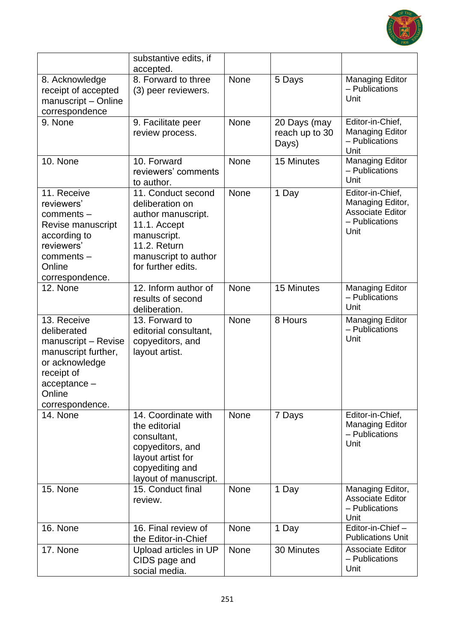

|                                                                                                                                                         | substantive edits, if<br>accepted.                                                                                                                              |             |                                         |                                                                                           |
|---------------------------------------------------------------------------------------------------------------------------------------------------------|-----------------------------------------------------------------------------------------------------------------------------------------------------------------|-------------|-----------------------------------------|-------------------------------------------------------------------------------------------|
| 8. Acknowledge<br>receipt of accepted<br>manuscript - Online<br>correspondence                                                                          | 8. Forward to three<br>(3) peer reviewers.                                                                                                                      | None        | 5 Days                                  | <b>Managing Editor</b><br>- Publications<br>Unit                                          |
| 9. None                                                                                                                                                 | 9. Facilitate peer<br>review process.                                                                                                                           | None        | 20 Days (may<br>reach up to 30<br>Days) | Editor-in-Chief,<br><b>Managing Editor</b><br>- Publications<br>Unit                      |
| 10. None                                                                                                                                                | 10. Forward<br>reviewers' comments<br>to author.                                                                                                                | None        | 15 Minutes                              | <b>Managing Editor</b><br>- Publications<br>Unit                                          |
| 11. Receive<br>reviewers'<br>comments-<br>Revise manuscript<br>according to<br>reviewers'<br>comments -<br>Online<br>correspondence.                    | 11. Conduct second<br>deliberation on<br>author manuscript.<br>11.1. Accept<br>manuscript.<br><b>11.2. Return</b><br>manuscript to author<br>for further edits. | None        | 1 Day                                   | Editor-in-Chief,<br>Managing Editor,<br><b>Associate Editor</b><br>- Publications<br>Unit |
| 12. None                                                                                                                                                | 12. Inform author of<br>results of second<br>deliberation.                                                                                                      | <b>None</b> | 15 Minutes                              | <b>Managing Editor</b><br>- Publications<br>Unit                                          |
| 13. Receive<br>deliberated<br>manuscript - Revise<br>manuscript further,<br>or acknowledge<br>receipt of<br>$acceptance -$<br>Online<br>correspondence. | 13. Forward to<br>editorial consultant,<br>copyeditors, and<br>layout artist.                                                                                   | <b>None</b> | 8 Hours                                 | <b>Managing Editor</b><br>- Publications<br>Unit                                          |
| 14. None                                                                                                                                                | 14. Coordinate with<br>the editorial<br>consultant,<br>copyeditors, and<br>layout artist for<br>copyediting and<br>layout of manuscript.                        | None        | 7 Days                                  | Editor-in-Chief,<br><b>Managing Editor</b><br>- Publications<br>Unit                      |
| 15. None                                                                                                                                                | 15. Conduct final<br>review.                                                                                                                                    | None        | 1 Day                                   | Managing Editor,<br><b>Associate Editor</b><br>- Publications<br>Unit                     |
| 16. None                                                                                                                                                | 16. Final review of<br>the Editor-in-Chief                                                                                                                      | None        | 1 Day                                   | Editor-in-Chief-<br><b>Publications Unit</b>                                              |
| 17. None                                                                                                                                                | Upload articles in UP<br>CIDS page and<br>social media.                                                                                                         | None        | 30 Minutes                              | <b>Associate Editor</b><br>- Publications<br>Unit                                         |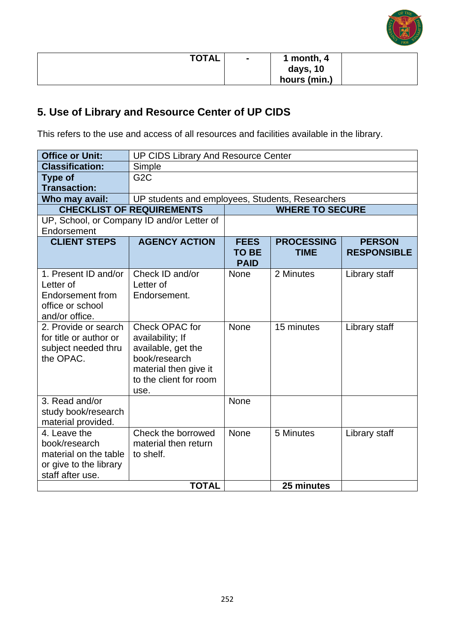

| <b>TOTAL</b> | <b>м</b> | 1 month, 4   |  |
|--------------|----------|--------------|--|
|              |          | days, 10     |  |
|              |          | hours (min.) |  |

# **5. Use of Library and Resource Center of UP CIDS**

This refers to the use and access of all resources and facilities available in the library.

| <b>Office or Unit:</b>                                                                               | <b>UP CIDS Library And Resource Center</b>                                                                                           |                             |                        |                    |
|------------------------------------------------------------------------------------------------------|--------------------------------------------------------------------------------------------------------------------------------------|-----------------------------|------------------------|--------------------|
| <b>Classification:</b>                                                                               | Simple                                                                                                                               |                             |                        |                    |
| <b>Type of</b>                                                                                       | G <sub>2</sub> C                                                                                                                     |                             |                        |                    |
| <b>Transaction:</b>                                                                                  |                                                                                                                                      |                             |                        |                    |
| Who may avail:                                                                                       | UP students and employees, Students, Researchers                                                                                     |                             |                        |                    |
|                                                                                                      | <b>CHECKLIST OF REQUIREMENTS</b>                                                                                                     |                             | <b>WHERE TO SECURE</b> |                    |
| Endorsement                                                                                          | UP, School, or Company ID and/or Letter of                                                                                           |                             |                        |                    |
| <b>CLIENT STEPS</b>                                                                                  | <b>AGENCY ACTION</b>                                                                                                                 | <b>FEES</b>                 | <b>PROCESSING</b>      | <b>PERSON</b>      |
|                                                                                                      |                                                                                                                                      | <b>TO BE</b><br><b>PAID</b> | <b>TIME</b>            | <b>RESPONSIBLE</b> |
| 1. Present ID and/or<br>Letter of<br>Endorsement from<br>office or school<br>and/or office.          | Check ID and/or<br>Letter of<br>Endorsement.                                                                                         | None                        | 2 Minutes              | Library staff      |
| 2. Provide or search<br>for title or author or<br>subject needed thru<br>the OPAC.                   | Check OPAC for<br>availability; If<br>available, get the<br>book/research<br>material then give it<br>to the client for room<br>use. | None                        | 15 minutes             | Library staff      |
| 3. Read and/or<br>study book/research<br>material provided.                                          |                                                                                                                                      | None                        |                        |                    |
| 4. Leave the<br>book/research<br>material on the table<br>or give to the library<br>staff after use. | Check the borrowed<br>material then return<br>to shelf.                                                                              | None                        | 5 Minutes              | Library staff      |
|                                                                                                      | <b>TOTAL</b>                                                                                                                         |                             | 25 minutes             |                    |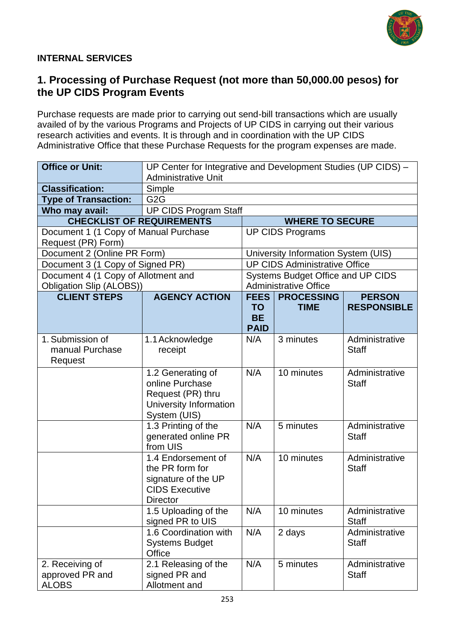

#### **INTERNAL SERVICES**

#### **1. Processing of Purchase Request (not more than 50,000.00 pesos) for the UP CIDS Program Events**

Purchase requests are made prior to carrying out send-bill transactions which are usually availed of by the various Programs and Projects of UP CIDS in carrying out their various research activities and events. It is through and in coordination with the UP CIDS Administrative Office that these Purchase Requests for the program expenses are made.

| <b>Office or Unit:</b>                                      |                                                                                                          | UP Center for Integrative and Development Studies (UP CIDS) - |                                      |                                |  |
|-------------------------------------------------------------|----------------------------------------------------------------------------------------------------------|---------------------------------------------------------------|--------------------------------------|--------------------------------|--|
|                                                             | <b>Administrative Unit</b>                                                                               |                                                               |                                      |                                |  |
| <b>Classification:</b>                                      | Simple                                                                                                   |                                                               |                                      |                                |  |
| <b>Type of Transaction:</b>                                 | G <sub>2</sub> G                                                                                         |                                                               |                                      |                                |  |
| Who may avail:                                              | <b>UP CIDS Program Staff</b>                                                                             |                                                               |                                      |                                |  |
| <b>CHECKLIST OF REQUIREMENTS</b>                            |                                                                                                          |                                                               | <b>WHERE TO SECURE</b>               |                                |  |
| Document 1 (1 Copy of Manual Purchase<br>Request (PR) Form) |                                                                                                          |                                                               | <b>UP CIDS Programs</b>              |                                |  |
| Document 2 (Online PR Form)                                 |                                                                                                          |                                                               | University Information System (UIS)  |                                |  |
| Document 3 (1 Copy of Signed PR)                            |                                                                                                          |                                                               | <b>UP CIDS Administrative Office</b> |                                |  |
| Document 4 (1 Copy of Allotment and                         |                                                                                                          |                                                               | Systems Budget Office and UP CIDS    |                                |  |
| Obligation Slip (ALOBS))                                    |                                                                                                          |                                                               | <b>Administrative Office</b>         |                                |  |
| <b>CLIENT STEPS</b>                                         | <b>AGENCY ACTION</b>                                                                                     | FEES                                                          | <b>PROCESSING</b>                    | <b>PERSON</b>                  |  |
|                                                             |                                                                                                          | <b>TO</b><br><b>BE</b>                                        | <b>TIME</b>                          | <b>RESPONSIBLE</b>             |  |
|                                                             |                                                                                                          | <b>PAID</b>                                                   |                                      |                                |  |
| 1. Submission of<br>manual Purchase<br>Request              | 1.1 Acknowledge<br>receipt                                                                               | N/A                                                           | 3 minutes                            | Administrative<br><b>Staff</b> |  |
|                                                             | 1.2 Generating of<br>online Purchase<br>Request (PR) thru<br>University Information<br>System (UIS)      | N/A                                                           | 10 minutes                           | Administrative<br><b>Staff</b> |  |
|                                                             | 1.3 Printing of the<br>generated online PR<br>from UIS                                                   | N/A                                                           | 5 minutes                            | Administrative<br><b>Staff</b> |  |
|                                                             | 1.4 Endorsement of<br>the PR form for<br>signature of the UP<br><b>CIDS Executive</b><br><b>Director</b> | N/A                                                           | 10 minutes                           | Administrative<br><b>Staff</b> |  |
|                                                             | 1.5 Uploading of the<br>signed PR to UIS                                                                 | N/A                                                           | 10 minutes                           | Administrative<br><b>Staff</b> |  |
|                                                             | 1.6 Coordination with<br><b>Systems Budget</b><br>Office                                                 | N/A                                                           | 2 days                               | Administrative<br><b>Staff</b> |  |
| 2. Receiving of<br>approved PR and<br><b>ALOBS</b>          | 2.1 Releasing of the<br>signed PR and<br>Allotment and                                                   | N/A                                                           | 5 minutes                            | Administrative<br><b>Staff</b> |  |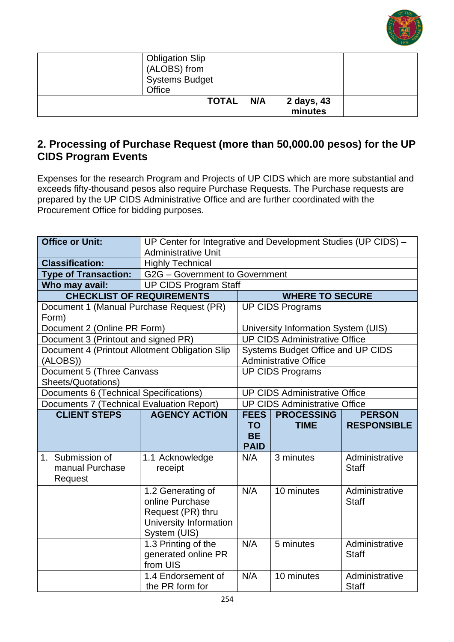

| <b>Obligation Slip</b><br>(ALOBS) from<br><b>Systems Budget</b> |     |            |  |
|-----------------------------------------------------------------|-----|------------|--|
| Office                                                          |     |            |  |
| <b>TOTAL</b>                                                    | N/A | 2 days, 43 |  |
|                                                                 |     | minutes    |  |

#### **2. Processing of Purchase Request (more than 50,000.00 pesos) for the UP CIDS Program Events**

Expenses for the research Program and Projects of UP CIDS which are more substantial and exceeds fifty-thousand pesos also require Purchase Requests. The Purchase requests are prepared by the UP CIDS Administrative Office and are further coordinated with the Procurement Office for bidding purposes.

| <b>Office or Unit:</b>                                     | UP Center for Integrative and Development Studies (UP CIDS) -<br><b>Administrative Unit</b>         |                                                      |                                                                   |                                     |
|------------------------------------------------------------|-----------------------------------------------------------------------------------------------------|------------------------------------------------------|-------------------------------------------------------------------|-------------------------------------|
| <b>Classification:</b>                                     | <b>Highly Technical</b>                                                                             |                                                      |                                                                   |                                     |
| <b>Type of Transaction:</b>                                | G2G - Government to Government                                                                      |                                                      |                                                                   |                                     |
| Who may avail:                                             | <b>UP CIDS Program Staff</b>                                                                        |                                                      |                                                                   |                                     |
| <b>CHECKLIST OF REQUIREMENTS</b>                           |                                                                                                     |                                                      | <b>WHERE TO SECURE</b>                                            |                                     |
| Document 1 (Manual Purchase Request (PR)<br>Form)          |                                                                                                     |                                                      | <b>UP CIDS Programs</b>                                           |                                     |
| Document 2 (Online PR Form)                                |                                                                                                     |                                                      | University Information System (UIS)                               |                                     |
| Document 3 (Printout and signed PR)                        |                                                                                                     |                                                      | <b>UP CIDS Administrative Office</b>                              |                                     |
| Document 4 (Printout Allotment Obligation Slip<br>(ALOBS)) |                                                                                                     |                                                      | Systems Budget Office and UP CIDS<br><b>Administrative Office</b> |                                     |
| Document 5 (Three Canvass<br>Sheets/Quotations)            |                                                                                                     |                                                      | <b>UP CIDS Programs</b>                                           |                                     |
| Documents 6 (Technical Specifications)                     |                                                                                                     |                                                      | <b>UP CIDS Administrative Office</b>                              |                                     |
| Documents 7 (Technical Evaluation Report)                  |                                                                                                     |                                                      | <b>UP CIDS Administrative Office</b>                              |                                     |
| <b>CLIENT STEPS</b>                                        | <b>AGENCY ACTION</b>                                                                                | <b>FEES</b><br><b>TO</b><br><b>BE</b><br><b>PAID</b> | <b>PROCESSING</b><br><b>TIME</b>                                  | <b>PERSON</b><br><b>RESPONSIBLE</b> |
| 1. Submission of<br>manual Purchase<br>Request             | 1.1 Acknowledge<br>receipt                                                                          | N/A                                                  | 3 minutes                                                         | Administrative<br><b>Staff</b>      |
|                                                            | 1.2 Generating of<br>online Purchase<br>Request (PR) thru<br>University Information<br>System (UIS) | N/A                                                  | 10 minutes                                                        | Administrative<br><b>Staff</b>      |
|                                                            | 1.3 Printing of the<br>generated online PR<br>from UIS                                              | N/A                                                  | 5 minutes                                                         | Administrative<br><b>Staff</b>      |
|                                                            | 1.4 Endorsement of<br>the PR form for                                                               | N/A                                                  | 10 minutes                                                        | Administrative<br><b>Staff</b>      |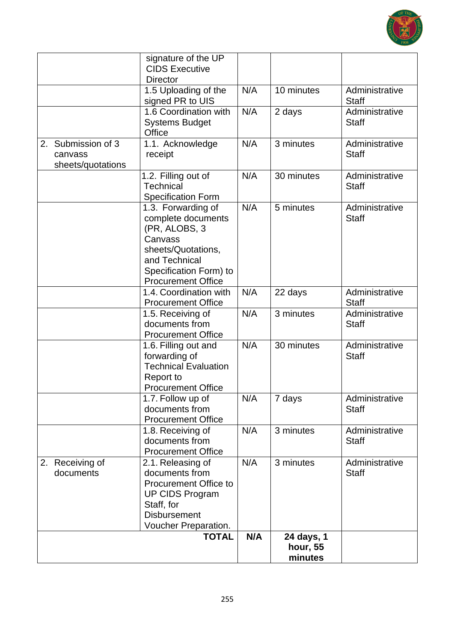

|                                                       | signature of the UP<br><b>CIDS Executive</b><br><b>Director</b>                                                                                                    |     |                                   |                                |
|-------------------------------------------------------|--------------------------------------------------------------------------------------------------------------------------------------------------------------------|-----|-----------------------------------|--------------------------------|
|                                                       | 1.5 Uploading of the<br>signed PR to UIS                                                                                                                           | N/A | 10 minutes                        | Administrative<br><b>Staff</b> |
|                                                       | 1.6 Coordination with<br><b>Systems Budget</b><br>Office                                                                                                           | N/A | 2 days                            | Administrative<br><b>Staff</b> |
| Submission of 3<br>2.<br>canvass<br>sheets/quotations | 1.1. Acknowledge<br>receipt                                                                                                                                        | N/A | 3 minutes                         | Administrative<br><b>Staff</b> |
|                                                       | 1.2. Filling out of<br><b>Technical</b><br><b>Specification Form</b>                                                                                               | N/A | 30 minutes                        | Administrative<br><b>Staff</b> |
|                                                       | 1.3. Forwarding of<br>complete documents<br>(PR, ALOBS, 3<br>Canvass<br>sheets/Quotations,<br>and Technical<br>Specification Form) to<br><b>Procurement Office</b> | N/A | 5 minutes                         | Administrative<br><b>Staff</b> |
|                                                       | 1.4. Coordination with<br><b>Procurement Office</b>                                                                                                                | N/A | 22 days                           | Administrative<br><b>Staff</b> |
|                                                       | 1.5. Receiving of<br>documents from<br><b>Procurement Office</b>                                                                                                   | N/A | 3 minutes                         | Administrative<br><b>Staff</b> |
|                                                       | 1.6. Filling out and<br>forwarding of<br><b>Technical Evaluation</b><br>Report to<br><b>Procurement Office</b>                                                     | N/A | 30 minutes                        | Administrative<br><b>Staff</b> |
|                                                       | 1.7. Follow up of<br>documents from<br><b>Procurement Office</b>                                                                                                   | N/A | 7 days                            | Administrative<br><b>Staff</b> |
|                                                       | 1.8. Receiving of<br>documents from<br><b>Procurement Office</b>                                                                                                   | N/A | 3 minutes                         | Administrative<br><b>Staff</b> |
| 2. Receiving of<br>documents                          | 2.1. Releasing of<br>documents from<br>Procurement Office to<br><b>UP CIDS Program</b><br>Staff, for<br><b>Disbursement</b><br>Voucher Preparation.                | N/A | 3 minutes                         | Administrative<br><b>Staff</b> |
|                                                       | <b>TOTAL</b>                                                                                                                                                       | N/A | 24 days, 1<br>hour, 55<br>minutes |                                |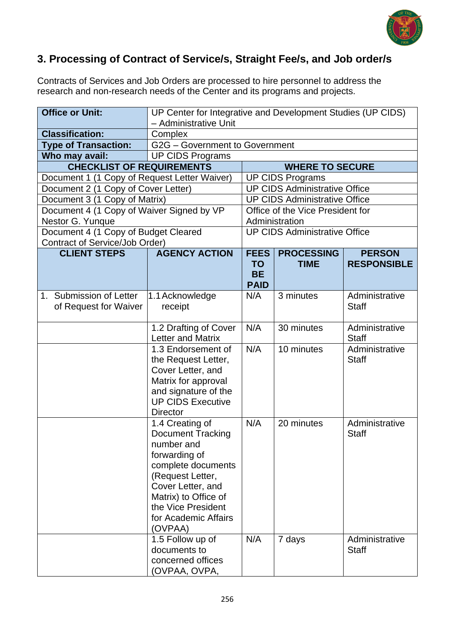

### **3. Processing of Contract of Service/s, Straight Fee/s, and Job order/s**

Contracts of Services and Job Orders are processed to hire personnel to address the research and non-research needs of the Center and its programs and projects.

| <b>Office or Unit:</b>                           | UP Center for Integrative and Development Studies (UP CIDS)<br>- Administrative Unit                                                                                                                                       |                                                      |                                      |                                     |
|--------------------------------------------------|----------------------------------------------------------------------------------------------------------------------------------------------------------------------------------------------------------------------------|------------------------------------------------------|--------------------------------------|-------------------------------------|
| <b>Classification:</b>                           | Complex                                                                                                                                                                                                                    |                                                      |                                      |                                     |
| <b>Type of Transaction:</b>                      | G2G - Government to Government                                                                                                                                                                                             |                                                      |                                      |                                     |
| Who may avail:                                   | <b>UP CIDS Programs</b>                                                                                                                                                                                                    |                                                      |                                      |                                     |
| <b>CHECKLIST OF REQUIREMENTS</b>                 |                                                                                                                                                                                                                            |                                                      | <b>WHERE TO SECURE</b>               |                                     |
| Document 1 (1 Copy of Request Letter Waiver)     |                                                                                                                                                                                                                            |                                                      | <b>UP CIDS Programs</b>              |                                     |
| Document 2 (1 Copy of Cover Letter)              |                                                                                                                                                                                                                            |                                                      | <b>UP CIDS Administrative Office</b> |                                     |
| Document 3 (1 Copy of Matrix)                    |                                                                                                                                                                                                                            |                                                      | <b>UP CIDS Administrative Office</b> |                                     |
| Document 4 (1 Copy of Waiver Signed by VP        |                                                                                                                                                                                                                            |                                                      | Office of the Vice President for     |                                     |
| Nestor G. Yunque                                 |                                                                                                                                                                                                                            |                                                      | Administration                       |                                     |
| Document 4 (1 Copy of Budget Cleared             |                                                                                                                                                                                                                            |                                                      | <b>UP CIDS Administrative Office</b> |                                     |
| <b>Contract of Service/Job Order)</b>            |                                                                                                                                                                                                                            |                                                      |                                      |                                     |
| <b>CLIENT STEPS</b>                              | <b>AGENCY ACTION</b>                                                                                                                                                                                                       | <b>FEES</b><br><b>TO</b><br><b>BE</b><br><b>PAID</b> | <b>PROCESSING</b><br><b>TIME</b>     | <b>PERSON</b><br><b>RESPONSIBLE</b> |
| 1. Submission of Letter<br>of Request for Waiver | 1.1 Acknowledge<br>receipt                                                                                                                                                                                                 | N/A                                                  | 3 minutes                            | Administrative<br><b>Staff</b>      |
|                                                  | 1.2 Drafting of Cover<br>Letter and Matrix                                                                                                                                                                                 | N/A                                                  | 30 minutes                           | Administrative<br><b>Staff</b>      |
|                                                  | 1.3 Endorsement of<br>the Request Letter,<br>Cover Letter, and<br>Matrix for approval<br>and signature of the<br><b>UP CIDS Executive</b><br><b>Director</b>                                                               | N/A                                                  | 10 minutes                           | Administrative<br><b>Staff</b>      |
|                                                  | 1.4 Creating of<br><b>Document Tracking</b><br>number and<br>forwarding of<br>complete documents<br>(Request Letter,<br>Cover Letter, and<br>Matrix) to Office of<br>the Vice President<br>for Academic Affairs<br>(OVPAA) | N/A                                                  | 20 minutes                           | Administrative<br><b>Staff</b>      |
|                                                  | 1.5 Follow up of<br>documents to<br>concerned offices<br>(OVPAA, OVPA,                                                                                                                                                     | N/A                                                  | 7 days                               | Administrative<br><b>Staff</b>      |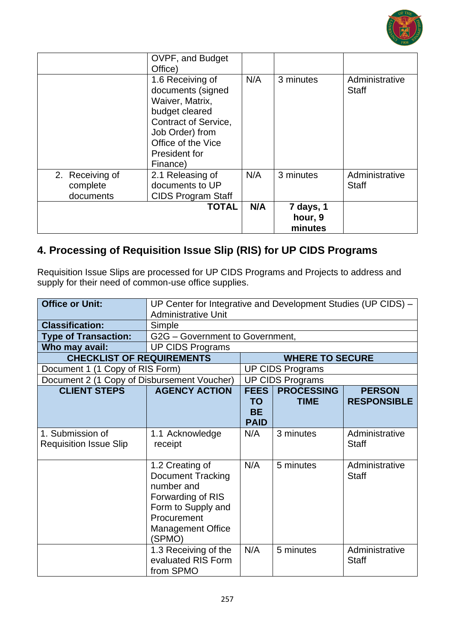

|                                          | OVPF, and Budget<br>Office)<br>1.6 Receiving of                                                                                                             | N/A | 3 minutes                       | Administrative                 |
|------------------------------------------|-------------------------------------------------------------------------------------------------------------------------------------------------------------|-----|---------------------------------|--------------------------------|
|                                          | documents (signed<br>Waiver, Matrix,<br>budget cleared<br><b>Contract of Service,</b><br>Job Order) from<br>Office of the Vice<br>President for<br>Finance) |     |                                 | <b>Staff</b>                   |
| 2. Receiving of<br>complete<br>documents | 2.1 Releasing of<br>documents to UP<br><b>CIDS Program Staff</b>                                                                                            | N/A | 3 minutes                       | Administrative<br><b>Staff</b> |
|                                          | <b>TOTAL</b>                                                                                                                                                | N/A | 7 days, 1<br>hour, 9<br>minutes |                                |

# **4. Processing of Requisition Issue Slip (RIS) for UP CIDS Programs**

Requisition Issue Slips are processed for UP CIDS Programs and Projects to address and supply for their need of common-use office supplies.

| <b>Office or Unit:</b>                            | UP Center for Integrative and Development Studies (UP CIDS) -<br><b>Administrative Unit</b>                                                               |                                                      |                                  |                                     |
|---------------------------------------------------|-----------------------------------------------------------------------------------------------------------------------------------------------------------|------------------------------------------------------|----------------------------------|-------------------------------------|
| <b>Classification:</b>                            | Simple                                                                                                                                                    |                                                      |                                  |                                     |
| <b>Type of Transaction:</b>                       | G2G - Government to Government,                                                                                                                           |                                                      |                                  |                                     |
| Who may avail:                                    | <b>UP CIDS Programs</b>                                                                                                                                   |                                                      |                                  |                                     |
| <b>CHECKLIST OF REQUIREMENTS</b>                  |                                                                                                                                                           |                                                      | <b>WHERE TO SECURE</b>           |                                     |
| Document 1 (1 Copy of RIS Form)                   |                                                                                                                                                           |                                                      | <b>UP CIDS Programs</b>          |                                     |
| Document 2 (1 Copy of Disbursement Voucher)       |                                                                                                                                                           |                                                      | <b>UP CIDS Programs</b>          |                                     |
| <b>CLIENT STEPS</b>                               | <b>AGENCY ACTION</b>                                                                                                                                      | <b>FEES</b><br><b>TO</b><br><b>BE</b><br><b>PAID</b> | <b>PROCESSING</b><br><b>TIME</b> | <b>PERSON</b><br><b>RESPONSIBLE</b> |
| 1. Submission of<br><b>Requisition Issue Slip</b> | 1.1 Acknowledge<br>receipt                                                                                                                                | N/A                                                  | 3 minutes                        | Administrative<br><b>Staff</b>      |
|                                                   | 1.2 Creating of<br><b>Document Tracking</b><br>number and<br>Forwarding of RIS<br>Form to Supply and<br>Procurement<br><b>Management Office</b><br>(SPMO) | N/A                                                  | 5 minutes                        | Administrative<br><b>Staff</b>      |
|                                                   | 1.3 Receiving of the<br>evaluated RIS Form<br>from SPMO                                                                                                   | N/A                                                  | 5 minutes                        | Administrative<br><b>Staff</b>      |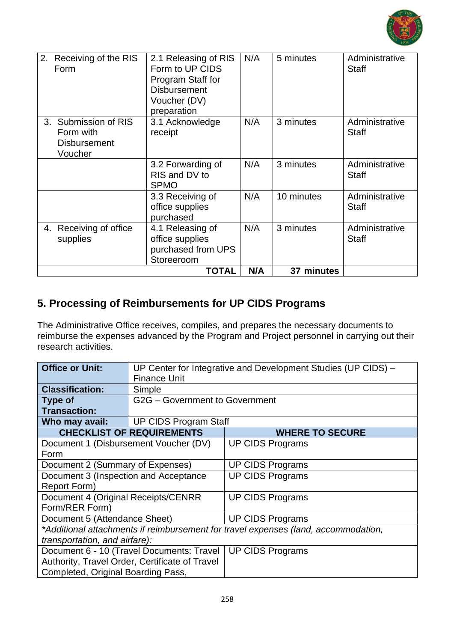

| 2.<br>Receiving of the RIS<br>Form                                  | 2.1 Releasing of RIS<br>Form to UP CIDS<br>Program Staff for<br><b>Disbursement</b><br>Voucher (DV)<br>preparation | N/A | 5 minutes  | Administrative<br><b>Staff</b> |
|---------------------------------------------------------------------|--------------------------------------------------------------------------------------------------------------------|-----|------------|--------------------------------|
| 3. Submission of RIS<br>Form with<br><b>Disbursement</b><br>Voucher | 3.1 Acknowledge<br>receipt                                                                                         | N/A | 3 minutes  | Administrative<br><b>Staff</b> |
|                                                                     | 3.2 Forwarding of<br>RIS and DV to<br><b>SPMO</b>                                                                  | N/A | 3 minutes  | Administrative<br><b>Staff</b> |
|                                                                     | 3.3 Receiving of<br>office supplies<br>purchased                                                                   | N/A | 10 minutes | Administrative<br><b>Staff</b> |
| 4. Receiving of office<br>supplies                                  | 4.1 Releasing of<br>office supplies<br>purchased from UPS<br>Storeeroom                                            | N/A | 3 minutes  | Administrative<br><b>Staff</b> |
|                                                                     | <b>TOTAL</b>                                                                                                       | N/A | 37 minutes |                                |

### **5. Processing of Reimbursements for UP CIDS Programs**

The Administrative Office receives, compiles, and prepares the necessary documents to reimburse the expenses advanced by the Program and Project personnel in carrying out their research activities.

| <b>Office or Unit:</b>                                                             | UP Center for Integrative and Development Studies (UP CIDS) - |                         |  |  |  |  |
|------------------------------------------------------------------------------------|---------------------------------------------------------------|-------------------------|--|--|--|--|
|                                                                                    | <b>Finance Unit</b>                                           |                         |  |  |  |  |
| <b>Classification:</b>                                                             | Simple                                                        |                         |  |  |  |  |
| <b>Type of</b>                                                                     | G2G - Government to Government                                |                         |  |  |  |  |
| <b>Transaction:</b>                                                                |                                                               |                         |  |  |  |  |
| Who may avail:                                                                     | <b>UP CIDS Program Staff</b>                                  |                         |  |  |  |  |
|                                                                                    | <b>CHECKLIST OF REQUIREMENTS</b>                              | <b>WHERE TO SECURE</b>  |  |  |  |  |
| Document 1 (Disbursement Voucher (DV)                                              |                                                               | <b>UP CIDS Programs</b> |  |  |  |  |
| Form                                                                               |                                                               |                         |  |  |  |  |
| Document 2 (Summary of Expenses)                                                   |                                                               | <b>UP CIDS Programs</b> |  |  |  |  |
| Document 3 (Inspection and Acceptance                                              |                                                               | <b>UP CIDS Programs</b> |  |  |  |  |
| Report Form)                                                                       |                                                               |                         |  |  |  |  |
| Document 4 (Original Receipts/CENRR                                                |                                                               | <b>UP CIDS Programs</b> |  |  |  |  |
| Form/RER Form)                                                                     |                                                               |                         |  |  |  |  |
|                                                                                    | Document 5 (Attendance Sheet)<br><b>UP CIDS Programs</b>      |                         |  |  |  |  |
| *Additional attachments if reimbursement for travel expenses (land, accommodation, |                                                               |                         |  |  |  |  |
| transportation, and airfare):                                                      |                                                               |                         |  |  |  |  |
| <b>UP CIDS Programs</b><br>Document 6 - 10 (Travel Documents: Travel               |                                                               |                         |  |  |  |  |
|                                                                                    | Authority, Travel Order, Certificate of Travel                |                         |  |  |  |  |
| Completed, Original Boarding Pass,                                                 |                                                               |                         |  |  |  |  |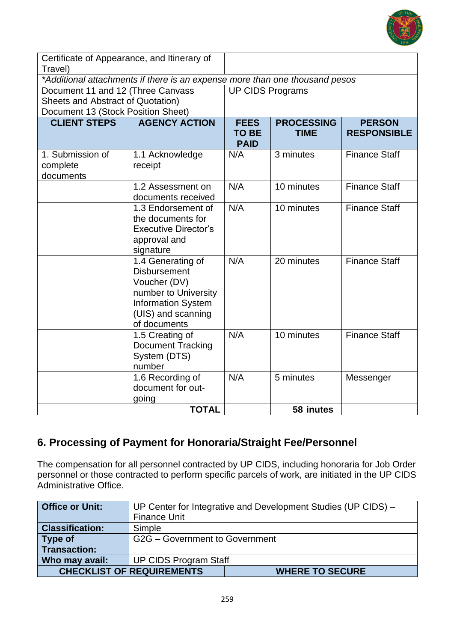

| Certificate of Appearance, and Itinerary of<br>Travel) |                                                                             |                             |                   |                      |
|--------------------------------------------------------|-----------------------------------------------------------------------------|-----------------------------|-------------------|----------------------|
|                                                        | *Additional attachments if there is an expense more than one thousand pesos |                             |                   |                      |
| Document 11 and 12 (Three Canvass                      |                                                                             | <b>UP CIDS Programs</b>     |                   |                      |
| Sheets and Abstract of Quotation)                      |                                                                             |                             |                   |                      |
| Document 13 (Stock Position Sheet)                     |                                                                             |                             |                   |                      |
| <b>CLIENT STEPS</b>                                    | <b>AGENCY ACTION</b>                                                        | <b>FEES</b>                 | <b>PROCESSING</b> | <b>PERSON</b>        |
|                                                        |                                                                             | <b>TO BE</b><br><b>PAID</b> | <b>TIME</b>       | <b>RESPONSIBLE</b>   |
| 1. Submission of                                       | 1.1 Acknowledge                                                             | N/A                         | 3 minutes         | <b>Finance Staff</b> |
| complete                                               | receipt                                                                     |                             |                   |                      |
| documents                                              |                                                                             |                             |                   |                      |
|                                                        | 1.2 Assessment on                                                           | N/A                         | 10 minutes        | <b>Finance Staff</b> |
|                                                        | documents received                                                          |                             |                   |                      |
|                                                        | 1.3 Endorsement of                                                          | N/A                         | 10 minutes        | <b>Finance Staff</b> |
|                                                        | the documents for                                                           |                             |                   |                      |
|                                                        | <b>Executive Director's</b>                                                 |                             |                   |                      |
|                                                        | approval and                                                                |                             |                   |                      |
|                                                        | signature<br>1.4 Generating of                                              | N/A                         | 20 minutes        | <b>Finance Staff</b> |
|                                                        | <b>Disbursement</b>                                                         |                             |                   |                      |
|                                                        | Voucher (DV)                                                                |                             |                   |                      |
|                                                        | number to University                                                        |                             |                   |                      |
|                                                        | <b>Information System</b>                                                   |                             |                   |                      |
|                                                        | (UIS) and scanning                                                          |                             |                   |                      |
|                                                        | of documents                                                                |                             |                   |                      |
|                                                        | 1.5 Creating of                                                             | N/A                         | 10 minutes        | <b>Finance Staff</b> |
|                                                        | Document Tracking                                                           |                             |                   |                      |
|                                                        | System (DTS)                                                                |                             |                   |                      |
|                                                        | number                                                                      |                             |                   |                      |
|                                                        | 1.6 Recording of                                                            | N/A                         | 5 minutes         | Messenger            |
|                                                        | document for out-                                                           |                             |                   |                      |
|                                                        | going                                                                       |                             |                   |                      |
|                                                        | <b>TOTAL</b>                                                                |                             | 58 inutes         |                      |

# **6. Processing of Payment for Honoraria/Straight Fee/Personnel**

The compensation for all personnel contracted by UP CIDS, including honoraria for Job Order personnel or those contracted to perform specific parcels of work, are initiated in the UP CIDS Administrative Office.

| <b>Office or Unit:</b> |                                  | UP Center for Integrative and Development Studies (UP CIDS) - |  |
|------------------------|----------------------------------|---------------------------------------------------------------|--|
|                        | <b>Finance Unit</b>              |                                                               |  |
| <b>Classification:</b> | Simple                           |                                                               |  |
| Type of                | G2G - Government to Government   |                                                               |  |
| Transaction:           |                                  |                                                               |  |
| Who may avail:         | <b>UP CIDS Program Staff</b>     |                                                               |  |
|                        | <b>CHECKLIST OF REQUIREMENTS</b> | <b>WHERE TO SECURE</b>                                        |  |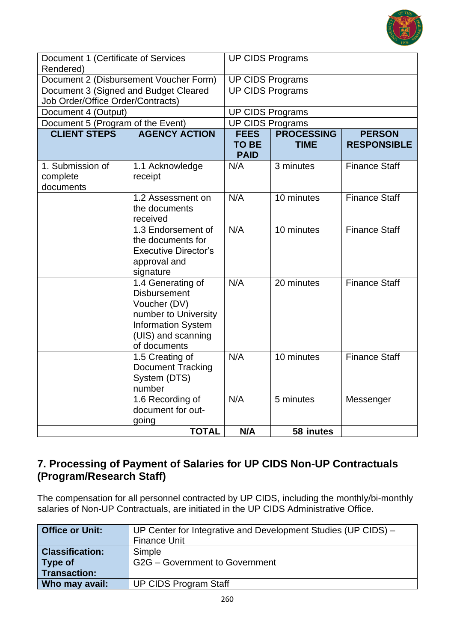

| Document 1 (Certificate of Services<br>Rendered) |                                                                                                                                                     | <b>UP CIDS Programs</b>                    |                                  |                                     |  |
|--------------------------------------------------|-----------------------------------------------------------------------------------------------------------------------------------------------------|--------------------------------------------|----------------------------------|-------------------------------------|--|
| Document 2 (Disbursement Voucher Form)           |                                                                                                                                                     | <b>UP CIDS Programs</b>                    |                                  |                                     |  |
| Document 3 (Signed and Budget Cleared            |                                                                                                                                                     | <b>UP CIDS Programs</b>                    |                                  |                                     |  |
| Job Order/Office Order/Contracts)                |                                                                                                                                                     |                                            |                                  |                                     |  |
| Document 4 (Output)                              |                                                                                                                                                     | <b>UP CIDS Programs</b>                    |                                  |                                     |  |
| Document 5 (Program of the Event)                |                                                                                                                                                     | <b>UP CIDS Programs</b>                    |                                  |                                     |  |
| <b>CLIENT STEPS</b>                              | <b>AGENCY ACTION</b>                                                                                                                                | <b>FEES</b><br><b>TO BE</b><br><b>PAID</b> | <b>PROCESSING</b><br><b>TIME</b> | <b>PERSON</b><br><b>RESPONSIBLE</b> |  |
| 1. Submission of<br>complete<br>documents        | 1.1 Acknowledge<br>receipt                                                                                                                          | N/A                                        | 3 minutes                        | <b>Finance Staff</b>                |  |
|                                                  | 1.2 Assessment on<br>the documents<br>received                                                                                                      | N/A                                        | 10 minutes                       | <b>Finance Staff</b>                |  |
|                                                  | 1.3 Endorsement of<br>the documents for<br><b>Executive Director's</b><br>approval and<br>signature                                                 | N/A                                        | 10 minutes                       | <b>Finance Staff</b>                |  |
|                                                  | 1.4 Generating of<br><b>Disbursement</b><br>Voucher (DV)<br>number to University<br><b>Information System</b><br>(UIS) and scanning<br>of documents | N/A                                        | 20 minutes                       | <b>Finance Staff</b>                |  |
|                                                  | 1.5 Creating of<br><b>Document Tracking</b><br>System (DTS)<br>number                                                                               | N/A                                        | 10 minutes                       | <b>Finance Staff</b>                |  |
|                                                  | 1.6 Recording of<br>document for out-<br>going                                                                                                      | N/A                                        | 5 minutes                        | Messenger                           |  |
|                                                  | <b>TOTAL</b>                                                                                                                                        | N/A                                        | 58 inutes                        |                                     |  |

### **7. Processing of Payment of Salaries for UP CIDS Non-UP Contractuals (Program/Research Staff)**

The compensation for all personnel contracted by UP CIDS, including the monthly/bi-monthly salaries of Non-UP Contractuals, are initiated in the UP CIDS Administrative Office.

| <b>Office or Unit:</b> | UP Center for Integrative and Development Studies (UP CIDS) - |
|------------------------|---------------------------------------------------------------|
|                        | <b>Finance Unit</b>                                           |
| <b>Classification:</b> | Simple                                                        |
| Type of                | G2G - Government to Government                                |
| Transaction:           |                                                               |
| Who may avail:         | <b>UP CIDS Program Staff</b>                                  |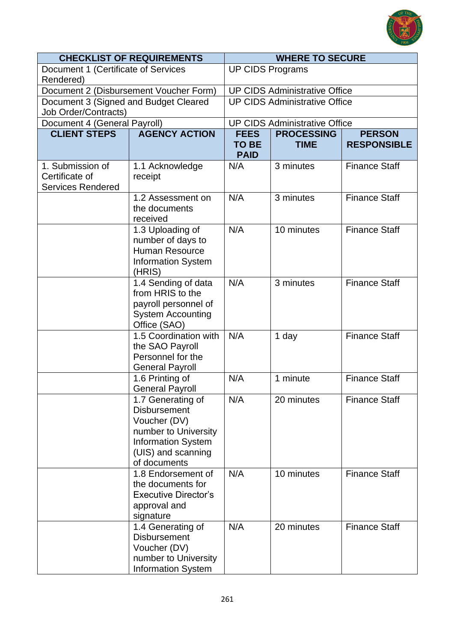

| <b>CHECKLIST OF REQUIREMENTS</b>                                     |                                                                                                                                                     | <b>WHERE TO SECURE</b>               |                                      |                      |
|----------------------------------------------------------------------|-----------------------------------------------------------------------------------------------------------------------------------------------------|--------------------------------------|--------------------------------------|----------------------|
| Document 1 (Certificate of Services<br>Rendered)                     |                                                                                                                                                     | <b>UP CIDS Programs</b>              |                                      |                      |
|                                                                      | Document 2 (Disbursement Voucher Form)                                                                                                              | <b>UP CIDS Administrative Office</b> |                                      |                      |
| Document 3 (Signed and Budget Cleared<br><b>Job Order/Contracts)</b> |                                                                                                                                                     |                                      | <b>UP CIDS Administrative Office</b> |                      |
| Document 4 (General Payroll)                                         |                                                                                                                                                     |                                      | <b>UP CIDS Administrative Office</b> |                      |
| <b>CLIENT STEPS</b>                                                  | <b>AGENCY ACTION</b>                                                                                                                                | <b>FEES</b>                          | <b>PROCESSING</b>                    | <b>PERSON</b>        |
|                                                                      |                                                                                                                                                     | <b>TO BE</b><br><b>PAID</b>          | <b>TIME</b>                          | <b>RESPONSIBLE</b>   |
| 1. Submission of<br>Certificate of<br><b>Services Rendered</b>       | 1.1 Acknowledge<br>receipt                                                                                                                          | N/A                                  | 3 minutes                            | <b>Finance Staff</b> |
|                                                                      | 1.2 Assessment on<br>the documents<br>received                                                                                                      | N/A                                  | 3 minutes                            | <b>Finance Staff</b> |
|                                                                      | 1.3 Uploading of<br>number of days to<br><b>Human Resource</b><br><b>Information System</b><br>(HRIS)                                               | N/A                                  | 10 minutes                           | <b>Finance Staff</b> |
|                                                                      | 1.4 Sending of data<br>from HRIS to the<br>payroll personnel of<br><b>System Accounting</b><br>Office (SAO)                                         | N/A                                  | 3 minutes                            | <b>Finance Staff</b> |
|                                                                      | 1.5 Coordination with<br>the SAO Payroll<br>Personnel for the<br><b>General Payroll</b>                                                             | N/A                                  | 1 day                                | <b>Finance Staff</b> |
|                                                                      | 1.6 Printing of<br><b>General Payroll</b>                                                                                                           | N/A                                  | 1 minute                             | <b>Finance Staff</b> |
|                                                                      | 1.7 Generating of<br><b>Disbursement</b><br>Voucher (DV)<br>number to University<br><b>Information System</b><br>(UIS) and scanning<br>of documents | N/A                                  | 20 minutes                           | <b>Finance Staff</b> |
|                                                                      | 1.8 Endorsement of<br>the documents for<br><b>Executive Director's</b><br>approval and<br>signature                                                 | N/A                                  | 10 minutes                           | <b>Finance Staff</b> |
|                                                                      | 1.4 Generating of<br><b>Disbursement</b><br>Voucher (DV)<br>number to University<br><b>Information System</b>                                       | N/A                                  | 20 minutes                           | <b>Finance Staff</b> |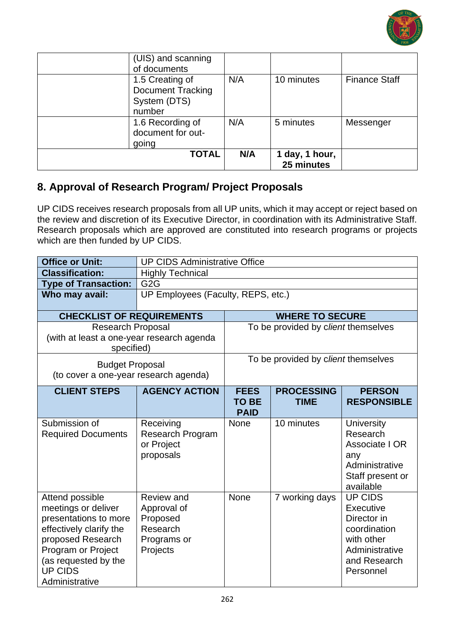

| (UIS) and scanning<br>of documents                                    |     |                              |                      |
|-----------------------------------------------------------------------|-----|------------------------------|----------------------|
| 1.5 Creating of<br><b>Document Tracking</b><br>System (DTS)<br>number | N/A | 10 minutes                   | <b>Finance Staff</b> |
| 1.6 Recording of<br>document for out-<br>going                        | N/A | 5 minutes                    | Messenger            |
| <b>TOTAL</b>                                                          | N/A | 1 day, 1 hour,<br>25 minutes |                      |

### **8. Approval of Research Program/ Project Proposals**

UP CIDS receives research proposals from all UP units, which it may accept or reject based on the review and discretion of its Executive Director, in coordination with its Administrative Staff. Research proposals which are approved are constituted into research programs or projects which are then funded by UP CIDS.

| <b>Office or Unit:</b>                                                                                                                                                                            | <b>UP CIDS Administrative Office</b>                                         |                                            |                                     |                                                                                                                         |
|---------------------------------------------------------------------------------------------------------------------------------------------------------------------------------------------------|------------------------------------------------------------------------------|--------------------------------------------|-------------------------------------|-------------------------------------------------------------------------------------------------------------------------|
| <b>Classification:</b>                                                                                                                                                                            | <b>Highly Technical</b>                                                      |                                            |                                     |                                                                                                                         |
| <b>Type of Transaction:</b>                                                                                                                                                                       | G <sub>2</sub> G                                                             |                                            |                                     |                                                                                                                         |
| Who may avail:                                                                                                                                                                                    | UP Employees (Faculty, REPS, etc.)                                           |                                            |                                     |                                                                                                                         |
| <b>CHECKLIST OF REQUIREMENTS</b>                                                                                                                                                                  |                                                                              |                                            | <b>WHERE TO SECURE</b>              |                                                                                                                         |
| <b>Research Proposal</b>                                                                                                                                                                          |                                                                              |                                            | To be provided by client themselves |                                                                                                                         |
| (with at least a one-year research agenda<br>specified)                                                                                                                                           |                                                                              |                                            |                                     |                                                                                                                         |
| <b>Budget Proposal</b><br>(to cover a one-year research agenda)                                                                                                                                   |                                                                              |                                            | To be provided by client themselves |                                                                                                                         |
| <b>CLIENT STEPS</b>                                                                                                                                                                               | <b>AGENCY ACTION</b>                                                         | <b>FEES</b><br><b>TO BE</b><br><b>PAID</b> | <b>PROCESSING</b><br><b>TIME</b>    | <b>PERSON</b><br><b>RESPONSIBLE</b>                                                                                     |
| Submission of<br><b>Required Documents</b>                                                                                                                                                        | Receiving<br><b>Research Program</b><br>or Project<br>proposals              | <b>None</b>                                | 10 minutes                          | <b>University</b><br>Research<br>Associate I OR<br>any<br>Administrative<br>Staff present or<br>available               |
| Attend possible<br>meetings or deliver<br>presentations to more<br>effectively clarify the<br>proposed Research<br>Program or Project<br>(as requested by the<br><b>UP CIDS</b><br>Administrative | Review and<br>Approval of<br>Proposed<br>Research<br>Programs or<br>Projects | <b>None</b>                                | 7 working days                      | <b>UP CIDS</b><br>Executive<br>Director in<br>coordination<br>with other<br>Administrative<br>and Research<br>Personnel |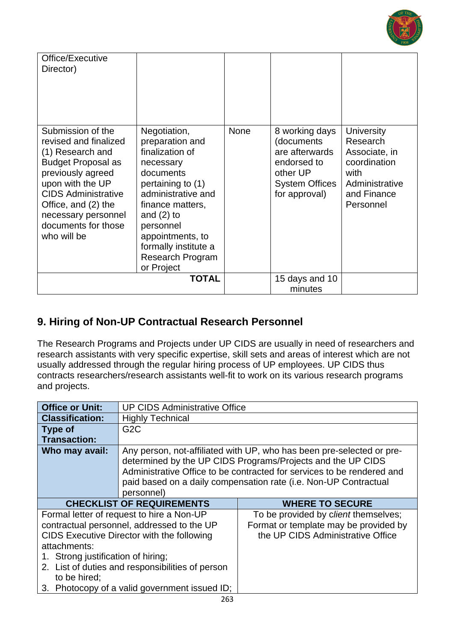

| Office/Executive<br>Director)                                                                                                                                                                                                                          |                                                                                                                                                                                                                                                        |      |                                                                                                                     |                                                                                                                      |
|--------------------------------------------------------------------------------------------------------------------------------------------------------------------------------------------------------------------------------------------------------|--------------------------------------------------------------------------------------------------------------------------------------------------------------------------------------------------------------------------------------------------------|------|---------------------------------------------------------------------------------------------------------------------|----------------------------------------------------------------------------------------------------------------------|
| Submission of the<br>revised and finalized<br>(1) Research and<br><b>Budget Proposal as</b><br>previously agreed<br>upon with the UP<br><b>CIDS Administrative</b><br>Office, and (2) the<br>necessary personnel<br>documents for those<br>who will be | Negotiation,<br>preparation and<br>finalization of<br>necessary<br>documents<br>pertaining to (1)<br>administrative and<br>finance matters,<br>and $(2)$ to<br>personnel<br>appointments, to<br>formally institute a<br>Research Program<br>or Project | None | 8 working days<br>(documents<br>are afterwards<br>endorsed to<br>other UP<br><b>System Offices</b><br>for approval) | <b>University</b><br>Research<br>Associate, in<br>coordination<br>with<br>Administrative<br>and Finance<br>Personnel |
|                                                                                                                                                                                                                                                        | <b>TOTAL</b>                                                                                                                                                                                                                                           |      | 15 days and 10<br>minutes                                                                                           |                                                                                                                      |

### **9. Hiring of Non-UP Contractual Research Personnel**

The Research Programs and Projects under UP CIDS are usually in need of researchers and research assistants with very specific expertise, skill sets and areas of interest which are not usually addressed through the regular hiring process of UP employees. UP CIDS thus contracts researchers/research assistants well-fit to work on its various research programs and projects.

| <b>Office or Unit:</b>                                             | <b>UP CIDS Administrative Office</b>                                                                                                                                                                                                                                                             |                                                                                                                    |  |
|--------------------------------------------------------------------|--------------------------------------------------------------------------------------------------------------------------------------------------------------------------------------------------------------------------------------------------------------------------------------------------|--------------------------------------------------------------------------------------------------------------------|--|
| <b>Classification:</b>                                             | <b>Highly Technical</b>                                                                                                                                                                                                                                                                          |                                                                                                                    |  |
| <b>Type of</b>                                                     | G <sub>2</sub> C                                                                                                                                                                                                                                                                                 |                                                                                                                    |  |
| <b>Transaction:</b>                                                |                                                                                                                                                                                                                                                                                                  |                                                                                                                    |  |
| Who may avail:                                                     | Any person, not-affiliated with UP, who has been pre-selected or pre-<br>determined by the UP CIDS Programs/Projects and the UP CIDS<br>Administrative Office to be contracted for services to be rendered and<br>paid based on a daily compensation rate (i.e. Non-UP Contractual<br>personnel) |                                                                                                                    |  |
|                                                                    | <b>CHECKLIST OF REQUIREMENTS</b>                                                                                                                                                                                                                                                                 | <b>WHERE TO SECURE</b>                                                                                             |  |
| attachments:<br>1. Strong justification of hiring;<br>to be hired; | Formal letter of request to hire a Non-UP<br>contractual personnel, addressed to the UP<br>CIDS Executive Director with the following<br>2. List of duties and responsibilities of person<br>3. Photocopy of a valid government issued ID;                                                       | To be provided by client themselves;<br>Format or template may be provided by<br>the UP CIDS Administrative Office |  |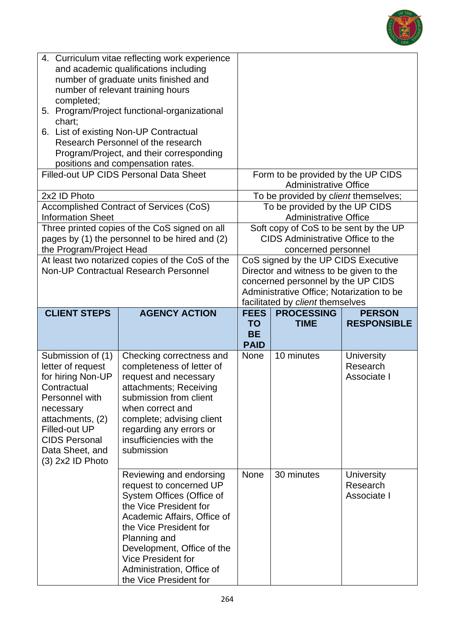

| 4. Curriculum vitae reflecting work experience<br>and academic qualifications including<br>number of graduate units finished and<br>number of relevant training hours<br>completed;<br>5. Program/Project functional-organizational<br>chart;<br>6. List of existing Non-UP Contractual<br>Research Personnel of the research<br>Program/Project, and their corresponding |                                                                                                                                                                                                                 |                                                                                                                                                                                                                                                          |                                                                                                                                                                                                       |                                                                                                   |                                              |
|---------------------------------------------------------------------------------------------------------------------------------------------------------------------------------------------------------------------------------------------------------------------------------------------------------------------------------------------------------------------------|-----------------------------------------------------------------------------------------------------------------------------------------------------------------------------------------------------------------|----------------------------------------------------------------------------------------------------------------------------------------------------------------------------------------------------------------------------------------------------------|-------------------------------------------------------------------------------------------------------------------------------------------------------------------------------------------------------|---------------------------------------------------------------------------------------------------|----------------------------------------------|
|                                                                                                                                                                                                                                                                                                                                                                           |                                                                                                                                                                                                                 | positions and compensation rates.<br><b>Filled-out UP CIDS Personal Data Sheet</b>                                                                                                                                                                       |                                                                                                                                                                                                       | Form to be provided by the UP CIDS<br><b>Administrative Office</b>                                |                                              |
|                                                                                                                                                                                                                                                                                                                                                                           | 2x2 ID Photo                                                                                                                                                                                                    |                                                                                                                                                                                                                                                          |                                                                                                                                                                                                       | To be provided by client themselves;                                                              |                                              |
|                                                                                                                                                                                                                                                                                                                                                                           | <b>Information Sheet</b>                                                                                                                                                                                        | Accomplished Contract of Services (CoS)                                                                                                                                                                                                                  |                                                                                                                                                                                                       | To be provided by the UP CIDS<br><b>Administrative Office</b>                                     |                                              |
|                                                                                                                                                                                                                                                                                                                                                                           | the Program/Project Head                                                                                                                                                                                        | Three printed copies of the CoS signed on all<br>pages by (1) the personnel to be hired and (2)                                                                                                                                                          |                                                                                                                                                                                                       | Soft copy of CoS to be sent by the UP<br>CIDS Administrative Office to the<br>concerned personnel |                                              |
| At least two notarized copies of the CoS of the<br><b>Non-UP Contractual Research Personnel</b>                                                                                                                                                                                                                                                                           |                                                                                                                                                                                                                 |                                                                                                                                                                                                                                                          | CoS signed by the UP CIDS Executive<br>Director and witness to be given to the<br>concerned personnel by the UP CIDS<br>Administrative Office; Notarization to be<br>facilitated by client themselves |                                                                                                   |                                              |
|                                                                                                                                                                                                                                                                                                                                                                           | <b>CLIENT STEPS</b>                                                                                                                                                                                             | <b>AGENCY ACTION</b>                                                                                                                                                                                                                                     | <b>FEES</b>                                                                                                                                                                                           | <b>PROCESSING</b>                                                                                 | <b>PERSON</b>                                |
|                                                                                                                                                                                                                                                                                                                                                                           |                                                                                                                                                                                                                 |                                                                                                                                                                                                                                                          |                                                                                                                                                                                                       |                                                                                                   |                                              |
|                                                                                                                                                                                                                                                                                                                                                                           |                                                                                                                                                                                                                 |                                                                                                                                                                                                                                                          | <b>TO</b><br><b>BE</b><br><b>PAID</b>                                                                                                                                                                 | <b>TIME</b>                                                                                       | <b>RESPONSIBLE</b>                           |
|                                                                                                                                                                                                                                                                                                                                                                           | Submission of (1)<br>letter of request<br>for hiring Non-UP<br>Contractual<br>Personnel with<br>necessary<br>attachments, (2)<br>Filled-out UP<br><b>CIDS Personal</b><br>Data Sheet, and<br>$(3)$ 2x2 ID Photo | Checking correctness and<br>completeness of letter of<br>request and necessary<br>attachments; Receiving<br>submission from client<br>when correct and<br>complete; advising client<br>regarding any errors or<br>insufficiencies with the<br>submission | <b>None</b>                                                                                                                                                                                           | 10 minutes                                                                                        | <b>University</b><br>Research<br>Associate I |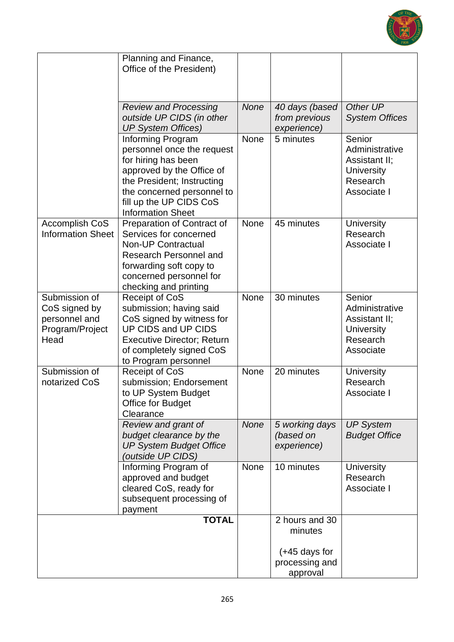

|                                                                            | Planning and Finance,<br>Office of the President)                                                                                                                                                                      |             |                                                                |                                                                                           |
|----------------------------------------------------------------------------|------------------------------------------------------------------------------------------------------------------------------------------------------------------------------------------------------------------------|-------------|----------------------------------------------------------------|-------------------------------------------------------------------------------------------|
|                                                                            | <b>Review and Processing</b><br>outside UP CIDS (in other<br><b>UP System Offices)</b>                                                                                                                                 | <b>None</b> | 40 days (based<br>from previous<br>experience)                 | Other UP<br><b>System Offices</b>                                                         |
|                                                                            | Informing Program<br>personnel once the request<br>for hiring has been<br>approved by the Office of<br>the President; Instructing<br>the concerned personnel to<br>fill up the UP CIDS CoS<br><b>Information Sheet</b> | None        | 5 minutes                                                      | Senior<br>Administrative<br>Assistant II;<br><b>University</b><br>Research<br>Associate I |
| <b>Accomplish CoS</b><br><b>Information Sheet</b>                          | Preparation of Contract of<br>Services for concerned<br><b>Non-UP Contractual</b><br>Research Personnel and<br>forwarding soft copy to<br>concerned personnel for<br>checking and printing                             | None        | 45 minutes                                                     | <b>University</b><br>Research<br>Associate I                                              |
| Submission of<br>CoS signed by<br>personnel and<br>Program/Project<br>Head | Receipt of CoS<br>submission; having said<br>CoS signed by witness for<br>UP CIDS and UP CIDS<br><b>Executive Director; Return</b><br>of completely signed CoS<br>to Program personnel                                 | None        | 30 minutes                                                     | Senior<br>Administrative<br>Assistant II;<br><b>University</b><br>Research<br>Associate   |
| Submission of<br>notarized CoS                                             | Receipt of CoS<br>submission; Endorsement<br>to UP System Budget<br>Office for Budget<br>Clearance                                                                                                                     | None        | 20 minutes                                                     | <b>University</b><br>Research<br>Associate I                                              |
|                                                                            | Review and grant of<br>budget clearance by the<br><b>UP System Budget Office</b><br>(outside UP CIDS)                                                                                                                  | None        | 5 working days<br>(based on<br>experience)                     | <b>UP System</b><br><b>Budget Office</b>                                                  |
|                                                                            | Informing Program of<br>approved and budget<br>cleared CoS, ready for<br>subsequent processing of<br>payment                                                                                                           | None        | 10 minutes                                                     | <b>University</b><br>Research<br>Associate I                                              |
|                                                                            | <b>TOTAL</b>                                                                                                                                                                                                           |             | 2 hours and 30<br>minutes<br>$(+45$ days for<br>processing and |                                                                                           |
|                                                                            |                                                                                                                                                                                                                        |             | approval                                                       |                                                                                           |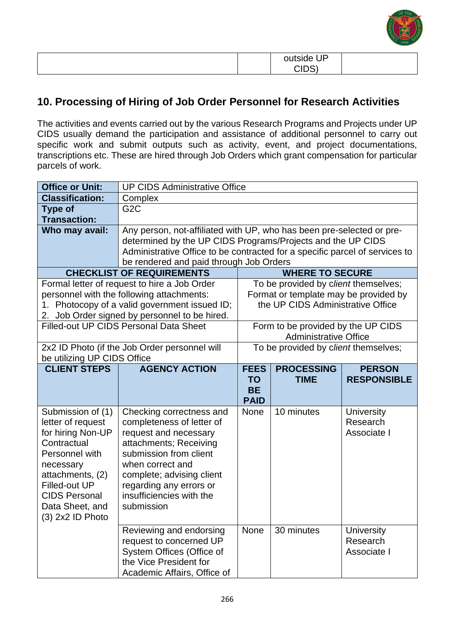

|  |        | ΙD |  |
|--|--------|----|--|
|  | $\sim$ |    |  |

### **10. Processing of Hiring of Job Order Personnel for Research Activities**

The activities and events carried out by the various Research Programs and Projects under UP CIDS usually demand the participation and assistance of additional personnel to carry out specific work and submit outputs such as activity, event, and project documentations, transcriptions etc. These are hired through Job Orders which grant compensation for particular parcels of work.

| <b>Office or Unit:</b>                   | <b>UP CIDS Administrative Office</b>                                        |                            |                                       |                               |
|------------------------------------------|-----------------------------------------------------------------------------|----------------------------|---------------------------------------|-------------------------------|
| <b>Classification:</b>                   | Complex                                                                     |                            |                                       |                               |
| <b>Type of</b>                           | G <sub>2</sub> C                                                            |                            |                                       |                               |
| <b>Transaction:</b>                      |                                                                             |                            |                                       |                               |
| Who may avail:                           | Any person, not-affiliated with UP, who has been pre-selected or pre-       |                            |                                       |                               |
|                                          | determined by the UP CIDS Programs/Projects and the UP CIDS                 |                            |                                       |                               |
|                                          | Administrative Office to be contracted for a specific parcel of services to |                            |                                       |                               |
|                                          | be rendered and paid through Job Orders                                     |                            |                                       |                               |
|                                          | <b>CHECKLIST OF REQUIREMENTS</b>                                            |                            | <b>WHERE TO SECURE</b>                |                               |
|                                          | Formal letter of request to hire a Job Order                                |                            | To be provided by client themselves;  |                               |
|                                          | personnel with the following attachments:                                   |                            | Format or template may be provided by |                               |
|                                          | 1. Photocopy of a valid government issued ID;                               |                            | the UP CIDS Administrative Office     |                               |
|                                          | 2. Job Order signed by personnel to be hired.                               |                            |                                       |                               |
|                                          | <b>Filled-out UP CIDS Personal Data Sheet</b>                               |                            | Form to be provided by the UP CIDS    |                               |
|                                          | <b>Administrative Office</b>                                                |                            |                                       |                               |
|                                          | 2x2 ID Photo (if the Job Order personnel will                               |                            | To be provided by client themselves;  |                               |
| be utilizing UP CIDS Office              |                                                                             |                            |                                       |                               |
| <b>CLIENT STEPS</b>                      | <b>AGENCY ACTION</b>                                                        | <b>FEES</b>                | <b>PROCESSING</b>                     | <b>PERSON</b>                 |
|                                          |                                                                             | <b>TO</b>                  | <b>TIME</b>                           | <b>RESPONSIBLE</b>            |
|                                          |                                                                             | <b>BE</b>                  |                                       |                               |
|                                          |                                                                             | <b>PAID</b><br><b>None</b> | 10 minutes                            |                               |
| Submission of (1)<br>letter of request   | Checking correctness and<br>completeness of letter of                       |                            |                                       | <b>University</b><br>Research |
| for hiring Non-UP                        | request and necessary                                                       |                            |                                       | Associate I                   |
| Contractual                              | attachments; Receiving                                                      |                            |                                       |                               |
| Personnel with                           | submission from client                                                      |                            |                                       |                               |
|                                          | when correct and                                                            |                            |                                       |                               |
| necessary                                |                                                                             |                            |                                       |                               |
| attachments, (2)<br><b>Filled-out UP</b> | complete; advising client                                                   |                            |                                       |                               |
| <b>CIDS Personal</b>                     | regarding any errors or<br>insufficiencies with the                         |                            |                                       |                               |
| Data Sheet, and                          | submission                                                                  |                            |                                       |                               |
| (3) 2x2 ID Photo                         |                                                                             |                            |                                       |                               |
|                                          |                                                                             |                            |                                       |                               |
|                                          |                                                                             | <b>None</b>                | 30 minutes                            | <b>University</b>             |
|                                          | Reviewing and endorsing                                                     |                            |                                       |                               |
|                                          | request to concerned UP                                                     |                            |                                       | Research                      |
|                                          | System Offices (Office of                                                   |                            |                                       | Associate I                   |
|                                          | the Vice President for<br>Academic Affairs, Office of                       |                            |                                       |                               |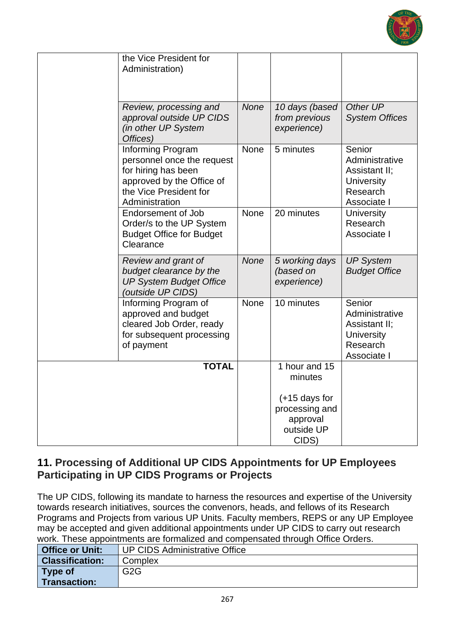

| the Vice President for<br>Administration)                                                                                                       |             |                                                                      |                                                                                           |
|-------------------------------------------------------------------------------------------------------------------------------------------------|-------------|----------------------------------------------------------------------|-------------------------------------------------------------------------------------------|
| Review, processing and<br>approval outside UP CIDS<br>(in other UP System<br>Offices)                                                           | None        | 10 days (based<br>from previous<br>experience)                       | Other UP<br><b>System Offices</b>                                                         |
| Informing Program<br>personnel once the request<br>for hiring has been<br>approved by the Office of<br>the Vice President for<br>Administration | <b>None</b> | 5 minutes                                                            | Senior<br>Administrative<br>Assistant II;<br>University<br>Research<br>Associate I        |
| <b>Endorsement of Job</b><br>Order/s to the UP System<br><b>Budget Office for Budget</b><br>Clearance                                           | None        | 20 minutes                                                           | <b>University</b><br>Research<br>Associate I                                              |
| Review and grant of<br>budget clearance by the<br><b>UP System Budget Office</b><br>(outside UP CIDS)                                           | <b>None</b> | 5 working days<br>(based on<br>experience)                           | <b>UP System</b><br><b>Budget Office</b>                                                  |
| Informing Program of<br>approved and budget<br>cleared Job Order, ready<br>for subsequent processing<br>of payment                              | <b>None</b> | 10 minutes                                                           | Senior<br>Administrative<br>Assistant II;<br><b>University</b><br>Research<br>Associate I |
| <b>TOTAL</b>                                                                                                                                    |             | 1 hour and 15<br>minutes                                             |                                                                                           |
|                                                                                                                                                 |             | $(+15$ days for<br>processing and<br>approval<br>outside UP<br>CIDS) |                                                                                           |

#### **11. Processing of Additional UP CIDS Appointments for UP Employees Participating in UP CIDS Programs or Projects**

The UP CIDS, following its mandate to harness the resources and expertise of the University towards research initiatives, sources the convenors, heads, and fellows of its Research Programs and Projects from various UP Units. Faculty members, REPS or any UP Employee may be accepted and given additional appointments under UP CIDS to carry out research work. These appointments are formalized and compensated through Office Orders.

| Office or Unit:        | UP CIDS Administrative Office |
|------------------------|-------------------------------|
| <b>Classification:</b> | Complex                       |
| <b>Type of</b>         | G <sub>2</sub> G              |
| <b>Transaction:</b>    |                               |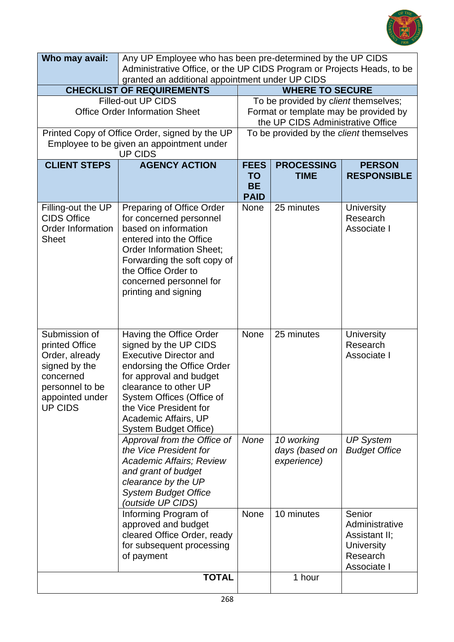

| Who may avail:                                                                                                                          | Any UP Employee who has been pre-determined by the UP CIDS                                                                                                                                                                                                                  |                                                                            |                                             |                                                                                           |
|-----------------------------------------------------------------------------------------------------------------------------------------|-----------------------------------------------------------------------------------------------------------------------------------------------------------------------------------------------------------------------------------------------------------------------------|----------------------------------------------------------------------------|---------------------------------------------|-------------------------------------------------------------------------------------------|
|                                                                                                                                         | Administrative Office, or the UP CIDS Program or Projects Heads, to be                                                                                                                                                                                                      |                                                                            |                                             |                                                                                           |
|                                                                                                                                         | granted an additional appointment under UP CIDS<br><b>CHECKLIST OF REQUIREMENTS</b><br><b>WHERE TO SECURE</b>                                                                                                                                                               |                                                                            |                                             |                                                                                           |
| <b>Filled-out UP CIDS</b>                                                                                                               |                                                                                                                                                                                                                                                                             |                                                                            | To be provided by client themselves;        |                                                                                           |
| <b>Office Order Information Sheet</b>                                                                                                   |                                                                                                                                                                                                                                                                             | Format or template may be provided by<br>the UP CIDS Administrative Office |                                             |                                                                                           |
|                                                                                                                                         | Printed Copy of Office Order, signed by the UP                                                                                                                                                                                                                              |                                                                            | To be provided by the client themselves     |                                                                                           |
|                                                                                                                                         | Employee to be given an appointment under<br><b>UP CIDS</b>                                                                                                                                                                                                                 |                                                                            |                                             |                                                                                           |
| <b>CLIENT STEPS</b>                                                                                                                     | <b>AGENCY ACTION</b>                                                                                                                                                                                                                                                        | <b>FEES</b>                                                                | <b>PROCESSING</b>                           | <b>PERSON</b>                                                                             |
|                                                                                                                                         |                                                                                                                                                                                                                                                                             | <b>TO</b>                                                                  | <b>TIME</b>                                 | <b>RESPONSIBLE</b>                                                                        |
|                                                                                                                                         |                                                                                                                                                                                                                                                                             | <b>BE</b><br><b>PAID</b>                                                   |                                             |                                                                                           |
| Filling-out the UP<br><b>CIDS Office</b><br><b>Order Information</b><br><b>Sheet</b>                                                    | Preparing of Office Order<br>for concerned personnel<br>based on information<br>entered into the Office<br><b>Order Information Sheet;</b><br>Forwarding the soft copy of<br>the Office Order to<br>concerned personnel for<br>printing and signing                         | None                                                                       | 25 minutes                                  | <b>University</b><br>Research<br>Associate I                                              |
| Submission of<br>printed Office<br>Order, already<br>signed by the<br>concerned<br>personnel to be<br>appointed under<br><b>UP CIDS</b> | Having the Office Order<br>signed by the UP CIDS<br><b>Executive Director and</b><br>endorsing the Office Order<br>for approval and budget<br>clearance to other UP<br>System Offices (Office of<br>the Vice President for<br>Academic Affairs, UP<br>System Budget Office) | <b>None</b>                                                                | 25 minutes                                  | <b>University</b><br>Research<br>Associate I                                              |
|                                                                                                                                         | Approval from the Office of<br>the Vice President for<br><b>Academic Affairs; Review</b><br>and grant of budget<br>clearance by the UP<br><b>System Budget Office</b><br>(outside UP CIDS)                                                                                  | None                                                                       | 10 working<br>days (based on<br>experience) | <b>UP System</b><br><b>Budget Office</b>                                                  |
|                                                                                                                                         | Informing Program of<br>approved and budget<br>cleared Office Order, ready<br>for subsequent processing<br>of payment                                                                                                                                                       | <b>None</b>                                                                | 10 minutes                                  | Senior<br>Administrative<br>Assistant II;<br><b>University</b><br>Research<br>Associate I |
|                                                                                                                                         | <b>TOTAL</b>                                                                                                                                                                                                                                                                |                                                                            | 1 hour                                      |                                                                                           |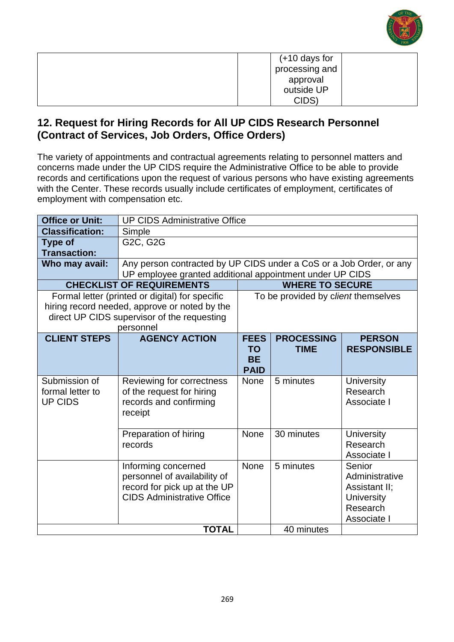

| $(+10$ days for |
|-----------------|
| processing and  |
| approval        |
| outside UP      |
| CIDS'           |

### **12. Request for Hiring Records for All UP CIDS Research Personnel (Contract of Services, Job Orders, Office Orders)**

The variety of appointments and contractual agreements relating to personnel matters and concerns made under the UP CIDS require the Administrative Office to be able to provide records and certifications upon the request of various persons who have existing agreements with the Center. These records usually include certificates of employment, certificates of employment with compensation etc.

| <b>Office or Unit:</b>     | <b>UP CIDS Administrative Office</b>                                |                          |                                     |                               |  |
|----------------------------|---------------------------------------------------------------------|--------------------------|-------------------------------------|-------------------------------|--|
| <b>Classification:</b>     | Simple                                                              |                          |                                     |                               |  |
| <b>Type of</b>             | G2C, G2G                                                            |                          |                                     |                               |  |
| <b>Transaction:</b>        |                                                                     |                          |                                     |                               |  |
| Who may avail:             | Any person contracted by UP CIDS under a CoS or a Job Order, or any |                          |                                     |                               |  |
|                            | UP employee granted additional appointment under UP CIDS            |                          |                                     |                               |  |
|                            | <b>CHECKLIST OF REQUIREMENTS</b>                                    |                          | <b>WHERE TO SECURE</b>              |                               |  |
|                            | Formal letter (printed or digital) for specific                     |                          | To be provided by client themselves |                               |  |
|                            | hiring record needed, approve or noted by the                       |                          |                                     |                               |  |
|                            | direct UP CIDS supervisor of the requesting                         |                          |                                     |                               |  |
|                            | personnel                                                           |                          |                                     |                               |  |
| <b>CLIENT STEPS</b>        | <b>AGENCY ACTION</b>                                                | <b>FEES</b>              | <b>PROCESSING</b>                   | <b>PERSON</b>                 |  |
|                            |                                                                     | <b>TO</b>                | <b>TIME</b>                         | <b>RESPONSIBLE</b>            |  |
|                            |                                                                     | <b>BE</b><br><b>PAID</b> |                                     |                               |  |
| Submission of              |                                                                     | <b>None</b>              | 5 minutes                           |                               |  |
| formal letter to           | Reviewing for correctness<br>of the request for hiring              |                          |                                     | <b>University</b><br>Research |  |
| <b>UP CIDS</b>             | records and confirming                                              |                          |                                     | Associate I                   |  |
|                            | receipt                                                             |                          |                                     |                               |  |
|                            |                                                                     |                          |                                     |                               |  |
|                            | Preparation of hiring                                               | <b>None</b>              | 30 minutes                          | <b>University</b>             |  |
|                            | records                                                             |                          |                                     | Research                      |  |
|                            |                                                                     |                          |                                     | Associate I                   |  |
|                            | Informing concerned                                                 | <b>None</b>              | 5 minutes                           | Senior                        |  |
|                            | personnel of availability of                                        |                          |                                     | Administrative                |  |
|                            | record for pick up at the UP                                        |                          |                                     | Assistant II;                 |  |
|                            | <b>CIDS Administrative Office</b>                                   |                          |                                     | University                    |  |
|                            |                                                                     |                          |                                     | Research                      |  |
| Associate I                |                                                                     |                          |                                     |                               |  |
| <b>TOTAL</b><br>40 minutes |                                                                     |                          |                                     |                               |  |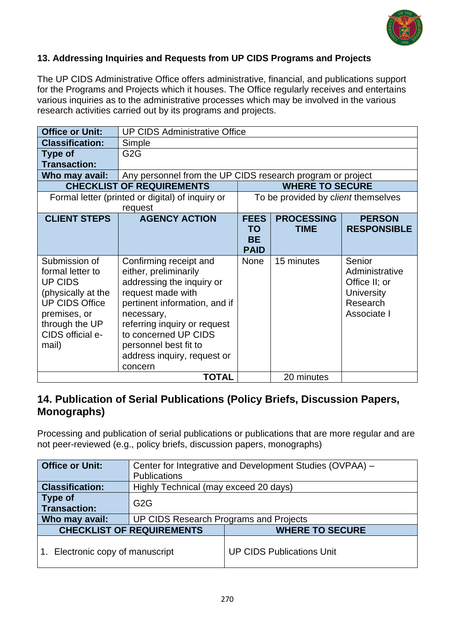

#### **13. Addressing Inquiries and Requests from UP CIDS Programs and Projects**

The UP CIDS Administrative Office offers administrative, financial, and publications support for the Programs and Projects which it houses. The Office regularly receives and entertains various inquiries as to the administrative processes which may be involved in the various research activities carried out by its programs and projects.

| <b>Office or Unit:</b> | <b>UP CIDS Administrative Office</b>                       |             |                                     |                    |  |
|------------------------|------------------------------------------------------------|-------------|-------------------------------------|--------------------|--|
| <b>Classification:</b> | Simple                                                     |             |                                     |                    |  |
| <b>Type of</b>         | G <sub>2</sub> G                                           |             |                                     |                    |  |
| <b>Transaction:</b>    |                                                            |             |                                     |                    |  |
| Who may avail:         | Any personnel from the UP CIDS research program or project |             |                                     |                    |  |
|                        | <b>CHECKLIST OF REQUIREMENTS</b>                           |             | <b>WHERE TO SECURE</b>              |                    |  |
|                        | Formal letter (printed or digital) of inquiry or           |             | To be provided by client themselves |                    |  |
|                        | request                                                    |             |                                     |                    |  |
| <b>CLIENT STEPS</b>    | <b>AGENCY ACTION</b>                                       | <b>FEES</b> | <b>PROCESSING</b>                   | <b>PERSON</b>      |  |
|                        |                                                            | <b>TO</b>   | <b>TIME</b>                         | <b>RESPONSIBLE</b> |  |
|                        |                                                            | <b>BE</b>   |                                     |                    |  |
|                        |                                                            | <b>PAID</b> |                                     |                    |  |
| Submission of          | Confirming receipt and                                     | <b>None</b> | 15 minutes                          | Senior             |  |
| formal letter to       | either, preliminarily                                      |             |                                     | Administrative     |  |
| <b>UP CIDS</b>         | addressing the inquiry or                                  |             |                                     | Office II; or      |  |
| (physically at the     | request made with                                          |             |                                     | <b>University</b>  |  |
| <b>UP CIDS Office</b>  | pertinent information, and if                              |             |                                     | Research           |  |
| premises, or           | necessary,                                                 |             |                                     | Associate I        |  |
| through the UP         | referring inquiry or request                               |             |                                     |                    |  |
| CIDS official e-       | to concerned UP CIDS                                       |             |                                     |                    |  |
| mail)                  | personnel best fit to                                      |             |                                     |                    |  |
|                        | address inquiry, request or                                |             |                                     |                    |  |
|                        | concern                                                    |             |                                     |                    |  |
|                        | <b>TOTAL</b><br>20 minutes                                 |             |                                     |                    |  |

### **14. Publication of Serial Publications (Policy Briefs, Discussion Papers, Monographs)**

Processing and publication of serial publications or publications that are more regular and are not peer-reviewed (e.g., policy briefs, discussion papers, monographs)

| <b>Office or Unit:</b>           | Center for Integrative and Development Studies (OVPAA) - |                                  |  |  |
|----------------------------------|----------------------------------------------------------|----------------------------------|--|--|
|                                  | <b>Publications</b>                                      |                                  |  |  |
| <b>Classification:</b>           | Highly Technical (may exceed 20 days)                    |                                  |  |  |
| Type of<br><b>Transaction:</b>   | G <sub>2</sub> G                                         |                                  |  |  |
| Who may avail:                   | UP CIDS Research Programs and Projects                   |                                  |  |  |
| <b>CHECKLIST OF REQUIREMENTS</b> |                                                          | <b>WHERE TO SECURE</b>           |  |  |
| 1. Electronic copy of manuscript |                                                          | <b>UP CIDS Publications Unit</b> |  |  |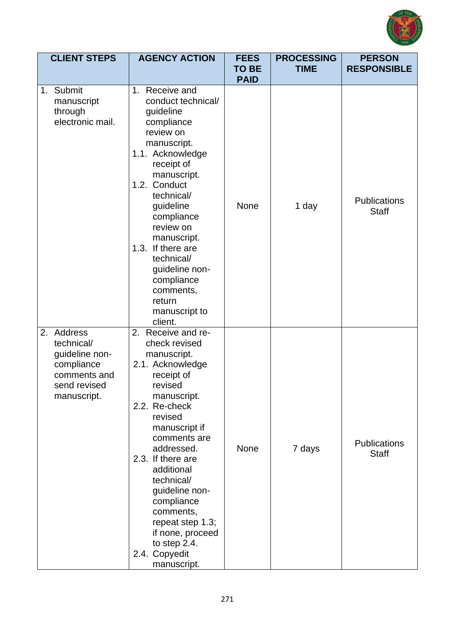

| <b>CLIENT STEPS</b>                                                                                     | <b>AGENCY ACTION</b>                                                                                                                                                                                                                                                                                                                                                            | <b>FEES</b><br><b>TO BE</b><br><b>PAID</b> | <b>PROCESSING</b><br><b>TIME</b> | <b>PERSON</b><br><b>RESPONSIBLE</b> |
|---------------------------------------------------------------------------------------------------------|---------------------------------------------------------------------------------------------------------------------------------------------------------------------------------------------------------------------------------------------------------------------------------------------------------------------------------------------------------------------------------|--------------------------------------------|----------------------------------|-------------------------------------|
| 1. Submit<br>manuscript<br>through<br>electronic mail.                                                  | 1. Receive and<br>conduct technical/<br>guideline<br>compliance<br>review on<br>manuscript.<br>1.1. Acknowledge<br>receipt of<br>manuscript.<br>1.2. Conduct<br>technical/<br>guideline<br>compliance<br>review on<br>manuscript.<br>1.3. If there are<br>technical/<br>guideline non-<br>compliance<br>comments,<br>return<br>manuscript to<br>client.                         | <b>None</b>                                | 1 day                            | <b>Publications</b><br><b>Staff</b> |
| 2. Address<br>technical/<br>guideline non-<br>compliance<br>comments and<br>send revised<br>manuscript. | 2. Receive and re-<br>check revised<br>manuscript.<br>2.1. Acknowledge<br>receipt of<br>revised<br>manuscript.<br>2.2. Re-check<br>revised<br>manuscript if<br>comments are<br>addressed.<br>2.3. If there are<br>additional<br>technical/<br>guideline non-<br>compliance<br>comments,<br>repeat step 1.3;<br>if none, proceed<br>to step 2.4.<br>2.4. Copyedit<br>manuscript. | <b>None</b>                                | 7 days                           | <b>Publications</b><br><b>Staff</b> |